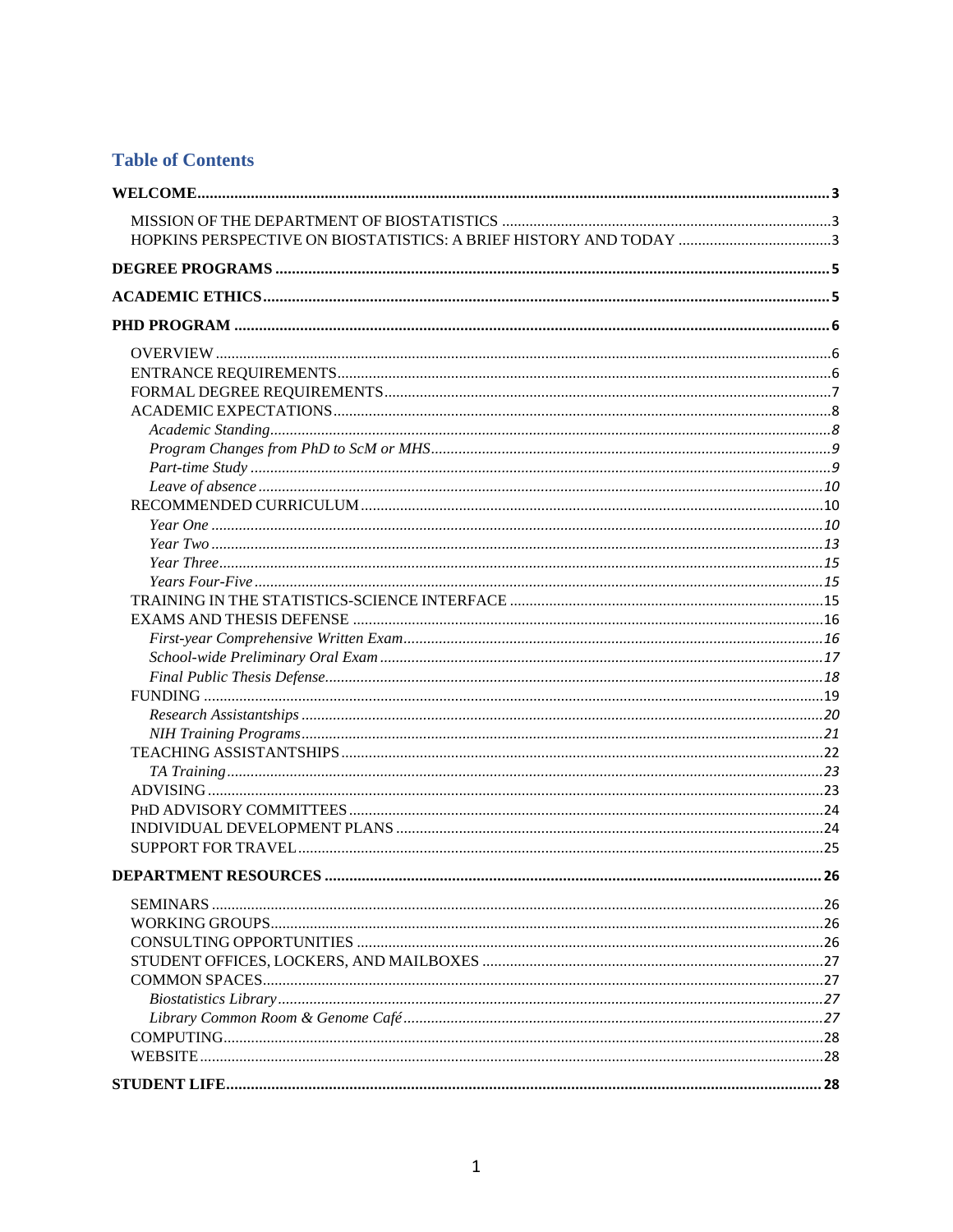# **Table of Contents**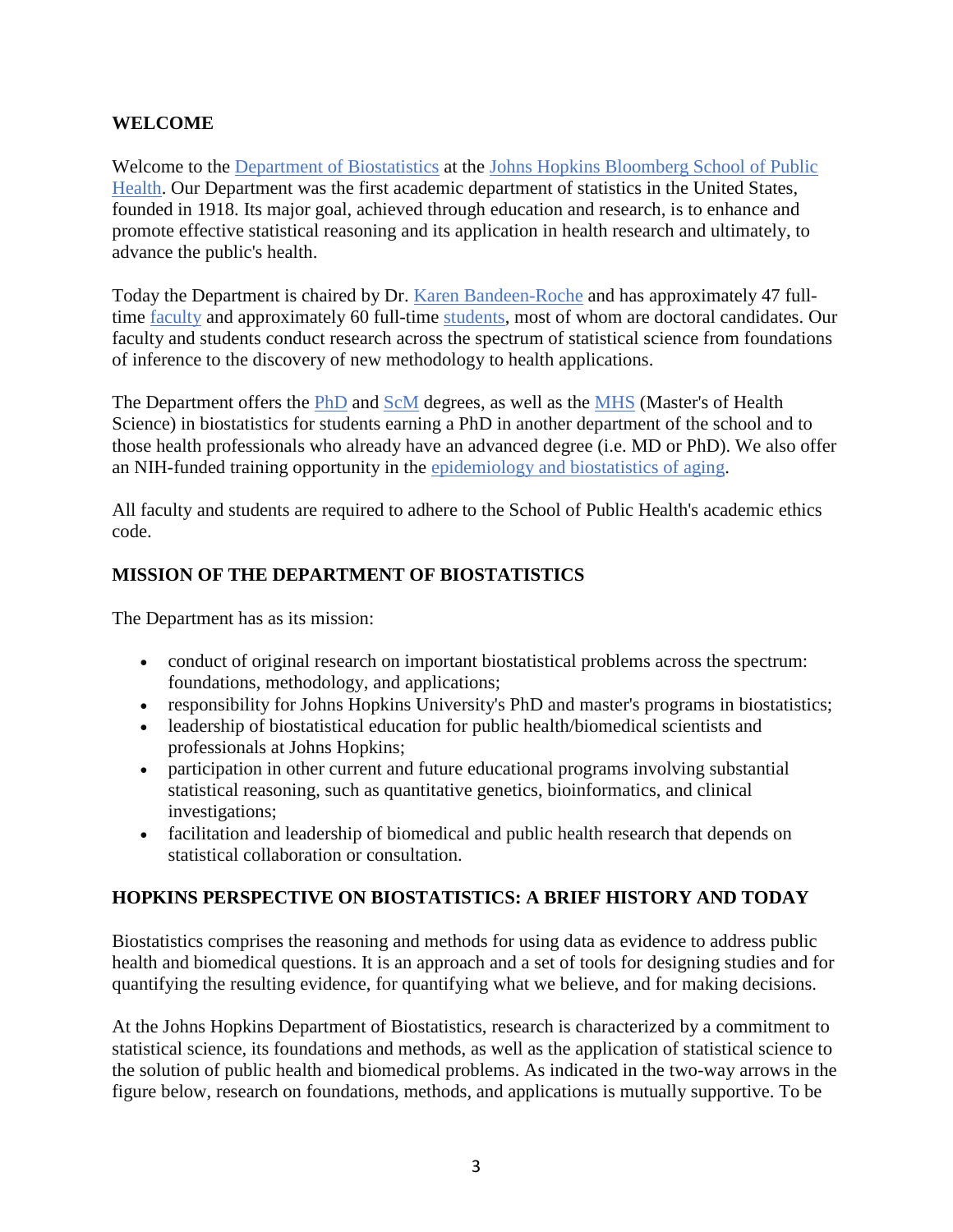## <span id="page-2-0"></span>**WELCOME**

Welcome to the Department of Biostatistics at the Johns Hopkins Bloomberg School of Public Health. Our Department was the first academic department of statistics in the United States, founded in 1918. Its major goal, achieved through education and research, is to enhance and promote effective statistical reasoning and its application in health research and ultimately, to advance the public's health.

Today the Department is chaired by Dr. Karen Bandeen-Roche and has approximately 47 fulltime faculty and approximately 60 full-time students, most of whom are doctoral candidates. Our faculty and students conduct research across the spectrum of statistical science from foundations of inference to the discovery of new methodology to health applications.

The Department offers the PhD and ScM degrees, as well as the MHS (Master's of Health Science) in biostatistics for students earning a PhD in another department of the school and to those health professionals who already have an advanced degree (i.e. MD or PhD). We also offer an NIH-funded training opportunity in the epidemiology and biostatistics of aging.

All faculty and students are required to adhere to the School of Public Health's academic ethics code.

# <span id="page-2-1"></span>**MISSION OF THE DEPARTMENT OF BIOSTATISTICS**

The Department has as its mission:

- conduct of original research on important biostatistical problems across the spectrum: foundations, methodology, and applications;
- responsibility for Johns Hopkins University's PhD and master's programs in biostatistics;
- leadership of biostatistical education for public health/biomedical scientists and professionals at Johns Hopkins;
- participation in other current and future educational programs involving substantial statistical reasoning, such as quantitative genetics, bioinformatics, and clinical investigations;
- facilitation and leadership of biomedical and public health research that depends on statistical collaboration or consultation.

# <span id="page-2-2"></span>**HOPKINS PERSPECTIVE ON BIOSTATISTICS: A BRIEF HISTORY AND TODAY**

Biostatistics comprises the reasoning and methods for using data as evidence to address public health and biomedical questions. It is an approach and a set of tools for designing studies and for quantifying the resulting evidence, for quantifying what we believe, and for making decisions.

At the Johns Hopkins Department of Biostatistics, research is characterized by a commitment to statistical science, its foundations and methods, as well as the application of statistical science to the solution of public health and biomedical problems. As indicated in the two-way arrows in the figure below, research on foundations, methods, and applications is mutually supportive. To be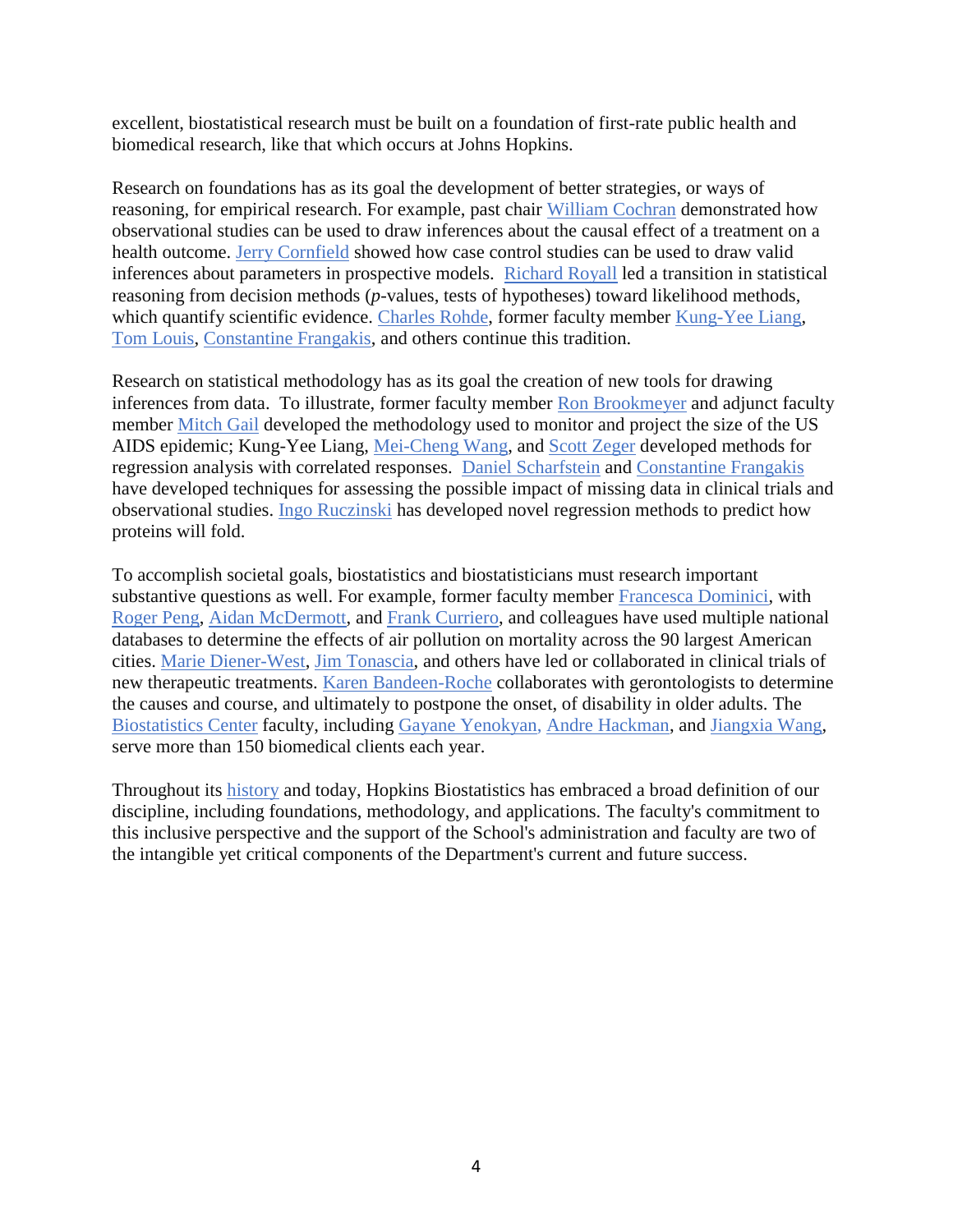excellent, biostatistical research must be built on a foundation of first-rate public health and biomedical research, like that which occurs at Johns Hopkins.

Research on foundations has as its goal the development of better strategies, or ways of reasoning, for empirical research. For example, past chair William Cochran demonstrated how observational studies can be used to draw inferences about the causal effect of a treatment on a health outcome. Jerry Cornfield showed how case control studies can be used to draw valid inferences about parameters in prospective models. Richard Royall led a transition in statistical reasoning from decision methods (*p*-values, tests of hypotheses) toward likelihood methods, which quantify scientific evidence. Charles Rohde, former faculty member Kung-Yee Liang, Tom Louis, Constantine Frangakis, and others continue this tradition.

Research on statistical methodology has as its goal the creation of new tools for drawing inferences from data. To illustrate, former faculty member Ron Brookmeyer and adjunct faculty member Mitch Gail developed the methodology used to monitor and project the size of the US AIDS epidemic; Kung-Yee Liang, Mei-Cheng Wang, and Scott Zeger developed methods for regression analysis with correlated responses. Daniel Scharfstein and Constantine Frangakis have developed techniques for assessing the possible impact of missing data in clinical trials and observational studies. Ingo Ruczinski has developed novel regression methods to predict how proteins will fold.

To accomplish societal goals, biostatistics and biostatisticians must research important substantive questions as well. For example, former faculty member Francesca Dominici, with Roger Peng, Aidan McDermott, and Frank Curriero, and colleagues have used multiple national databases to determine the effects of air pollution on mortality across the 90 largest American cities. Marie Diener-West, Jim Tonascia, and others have led or collaborated in clinical trials of new therapeutic treatments. Karen Bandeen-Roche collaborates with gerontologists to determine the causes and course, and ultimately to postpone the onset, of disability in older adults. The Biostatistics Center faculty, including Gayane Yenokyan, Andre Hackman, and Jiangxia Wang, serve more than 150 biomedical clients each year.

Throughout its history and today, Hopkins Biostatistics has embraced a broad definition of our discipline, including foundations, methodology, and applications. The faculty's commitment to this inclusive perspective and the support of the School's administration and faculty are two of the intangible yet critical components of the Department's current and future success.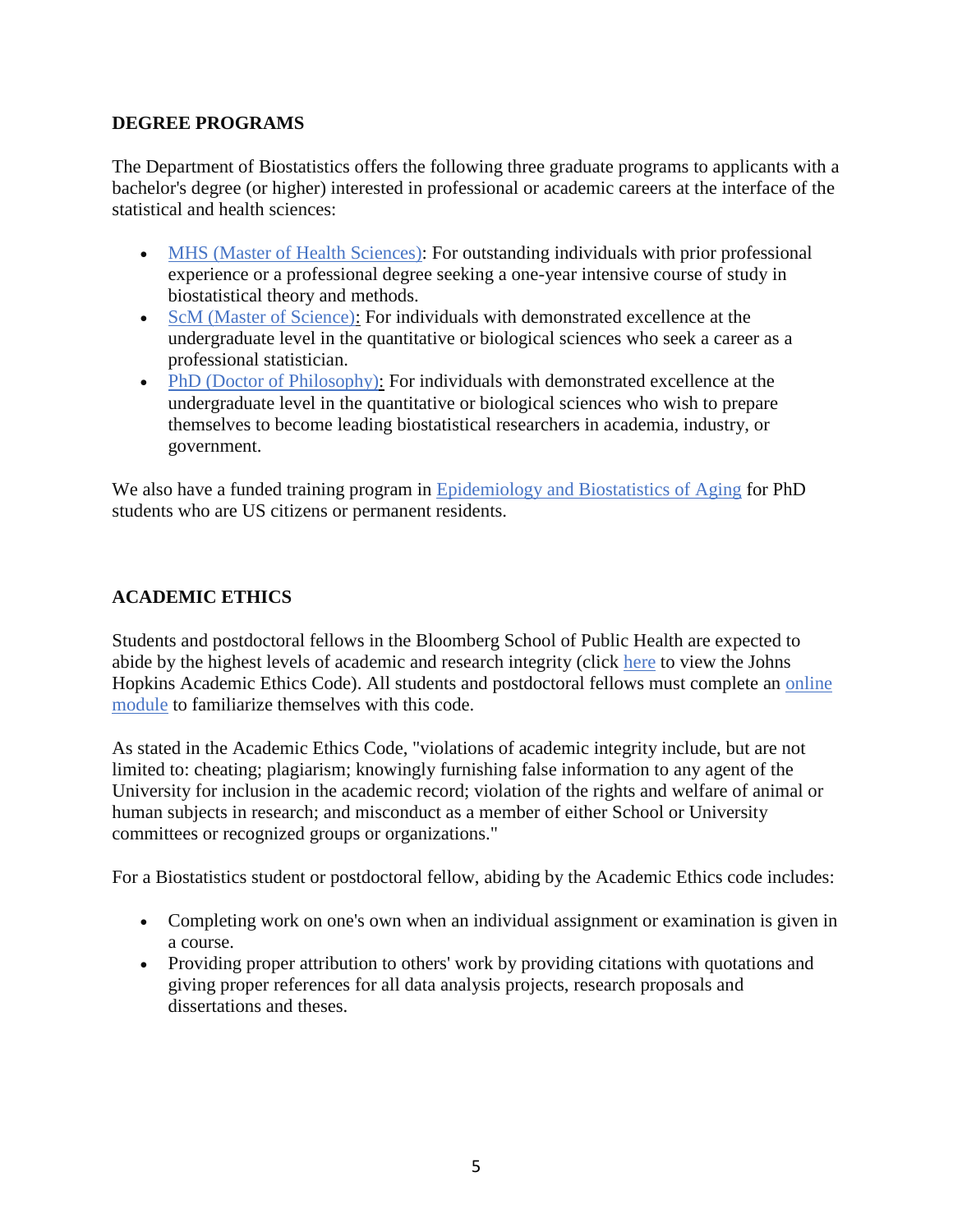### <span id="page-4-0"></span>**DEGREE PROGRAMS**

The Department of Biostatistics offers the following three graduate programs to applicants with a bachelor's degree (or higher) interested in professional or academic careers at the interface of the statistical and health sciences:

- MHS (Master of Health Sciences): For outstanding individuals with prior professional experience or a professional degree seeking a one-year intensive course of study in biostatistical theory and methods.
- ScM (Master of Science): For individuals with demonstrated excellence at the undergraduate level in the quantitative or biological sciences who seek a career as a professional statistician.
- PhD (Doctor of Philosophy): For individuals with demonstrated excellence at the undergraduate level in the quantitative or biological sciences who wish to prepare themselves to become leading biostatistical researchers in academia, industry, or government.

We also have a funded training program in Epidemiology and Biostatistics of Aging for PhD students who are US citizens or permanent residents.

## <span id="page-4-1"></span>**ACADEMIC ETHICS**

Students and postdoctoral fellows in the Bloomberg School of Public Health are expected to abide by the highest levels of academic and research integrity (click here to view the Johns Hopkins Academic Ethics Code). All students and postdoctoral fellows must complete an online module to familiarize themselves with this code.

As stated in the Academic Ethics Code, "violations of academic integrity include, but are not limited to: cheating; plagiarism; knowingly furnishing false information to any agent of the University for inclusion in the academic record; violation of the rights and welfare of animal or human subjects in research; and misconduct as a member of either School or University committees or recognized groups or organizations."

For a Biostatistics student or postdoctoral fellow, abiding by the Academic Ethics code includes:

- Completing work on one's own when an individual assignment or examination is given in a course.
- Providing proper attribution to others' work by providing citations with quotations and giving proper references for all data analysis projects, research proposals and dissertations and theses.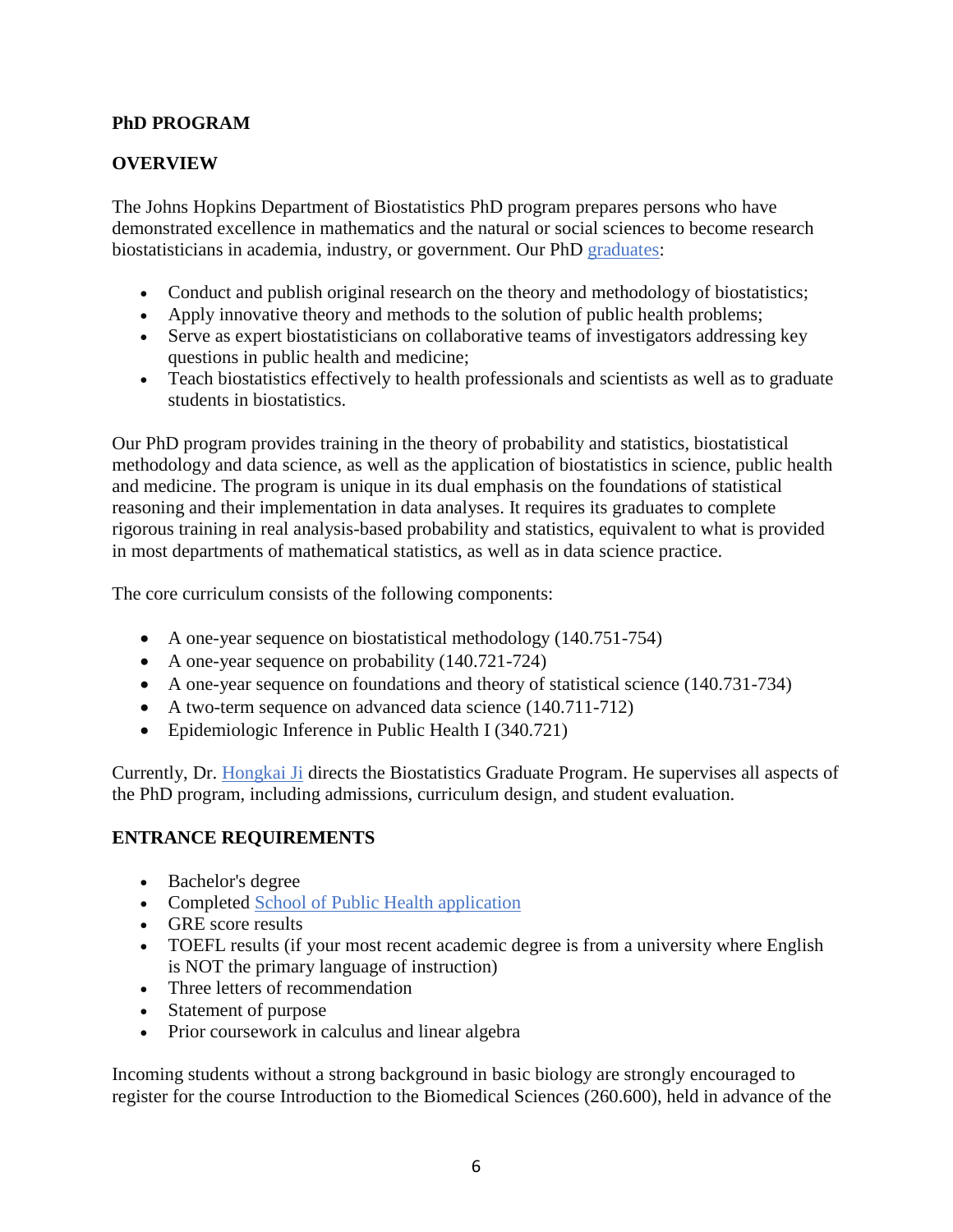## <span id="page-5-0"></span>**PhD PROGRAM**

## <span id="page-5-1"></span>**OVERVIEW**

The Johns Hopkins Department of Biostatistics PhD program prepares persons who have demonstrated excellence in mathematics and the natural or social sciences to become research biostatisticians in academia, industry, or government. Our PhD graduates:

- Conduct and publish original research on the theory and methodology of biostatistics;
- Apply innovative theory and methods to the solution of public health problems;
- Serve as expert biostatisticians on collaborative teams of investigators addressing key questions in public health and medicine;
- Teach biostatistics effectively to health professionals and scientists as well as to graduate students in biostatistics.

Our PhD program provides training in the theory of probability and statistics, biostatistical methodology and data science, as well as the application of biostatistics in science, public health and medicine. The program is unique in its dual emphasis on the foundations of statistical reasoning and their implementation in data analyses. It requires its graduates to complete rigorous training in real analysis-based probability and statistics, equivalent to what is provided in most departments of mathematical statistics, as well as in data science practice.

The core curriculum consists of the following components:

- A one-year sequence on biostatistical methodology (140.751-754)
- A one-year sequence on probability (140.721-724)
- A one-year sequence on foundations and theory of statistical science (140.731-734)
- A two-term sequence on advanced data science (140.711-712)
- Epidemiologic Inference in Public Health I (340.721)

Currently, Dr. Hongkai Ji directs the Biostatistics Graduate Program. He supervises all aspects of the PhD program, including admissions, curriculum design, and student evaluation.

### <span id="page-5-2"></span>**ENTRANCE REQUIREMENTS**

- Bachelor's degree
- Completed School of Public Health application
- GRE score results
- TOEFL results (if your most recent academic degree is from a university where English is NOT the primary language of instruction)
- Three letters of recommendation
- Statement of purpose
- Prior coursework in calculus and linear algebra

Incoming students without a strong background in basic biology are strongly encouraged to register for the course Introduction to the Biomedical Sciences (260.600), held in advance of the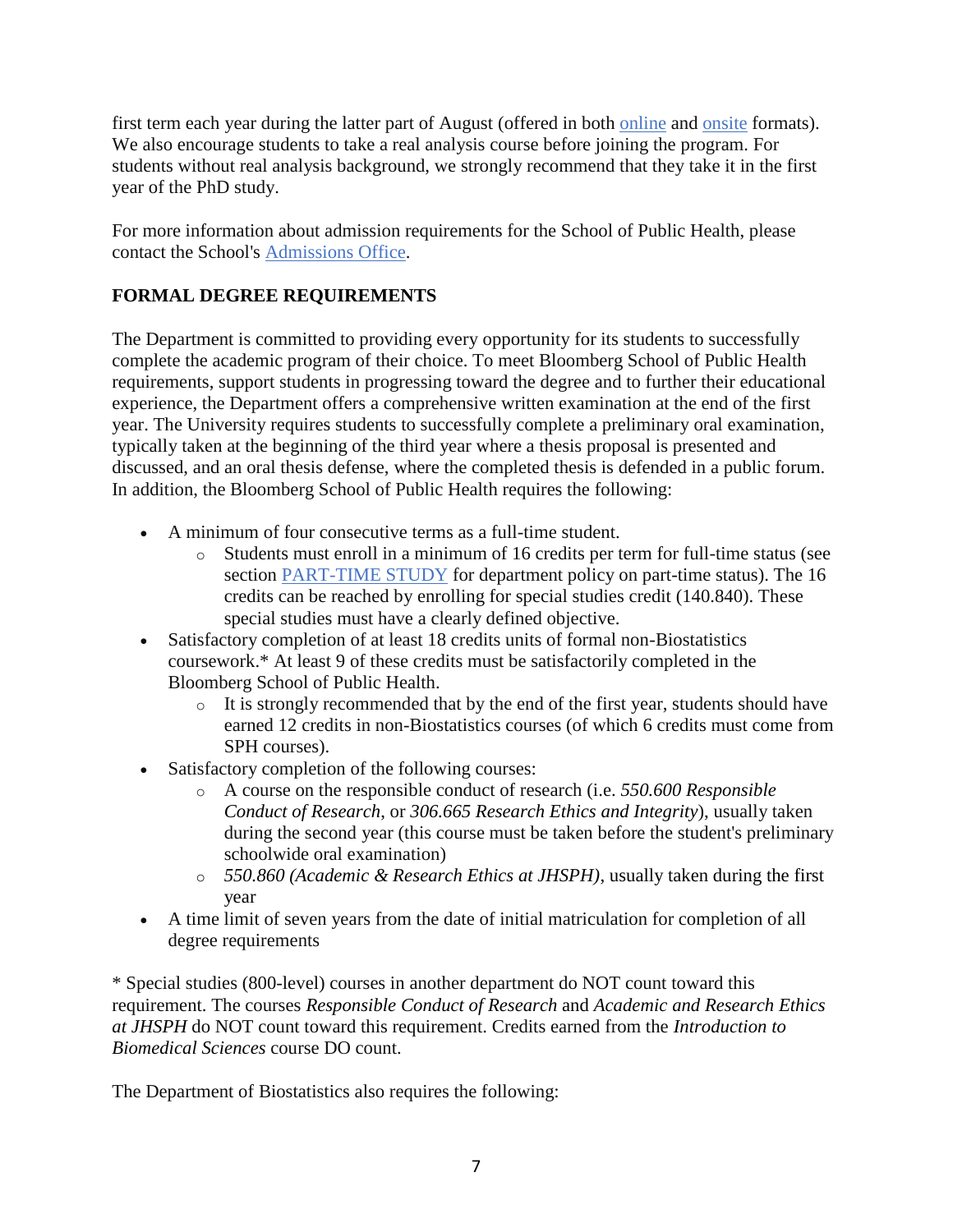first term each year during the latter part of August (offered in both online and onsite formats). We also encourage students to take a real analysis course before joining the program. For students without real analysis background, we strongly recommend that they take it in the first year of the PhD study.

For more information about admission requirements for the School of Public Health, please contact the School's Admissions Office.

# <span id="page-6-0"></span>**FORMAL DEGREE REQUIREMENTS**

The Department is committed to providing every opportunity for its students to successfully complete the academic program of their choice. To meet Bloomberg School of Public Health requirements, support students in progressing toward the degree and to further their educational experience, the Department offers a comprehensive written examination at the end of the first year. The University requires students to successfully complete a preliminary oral examination, typically taken at the beginning of the third year where a thesis proposal is presented and discussed, and an oral thesis defense, where the completed thesis is defended in a public forum. In addition, the Bloomberg School of Public Health requires the following:

- A minimum of four consecutive terms as a full-time student.
	- o Students must enroll in a minimum of 16 credits per term for full-time status (see section [PART-TIME STUDY](#page-8-1) for department policy on part-time status). The 16 credits can be reached by enrolling for special studies credit (140.840). These special studies must have a clearly defined objective.
- Satisfactory completion of at least 18 credits units of formal non-Biostatistics coursework.\* At least 9 of these credits must be satisfactorily completed in the Bloomberg School of Public Health.
	- o It is strongly recommended that by the end of the first year, students should have earned 12 credits in non-Biostatistics courses (of which 6 credits must come from SPH courses).
- Satisfactory completion of the following courses:
	- o A course on the responsible conduct of research (i.e. *550.600 Responsible Conduct of Research*, or *306.665 Research Ethics and Integrity*), usually taken during the second year (this course must be taken before the student's preliminary schoolwide oral examination)
	- o *550.860 (Academic & Research Ethics at JHSPH)*, usually taken during the first year
- A time limit of seven years from the date of initial matriculation for completion of all degree requirements

\* Special studies (800-level) courses in another department do NOT count toward this requirement. The courses *Responsible Conduct of Research* and *Academic and Research Ethics at JHSPH* do NOT count toward this requirement. Credits earned from the *Introduction to Biomedical Sciences* course DO count.

The Department of Biostatistics also requires the following: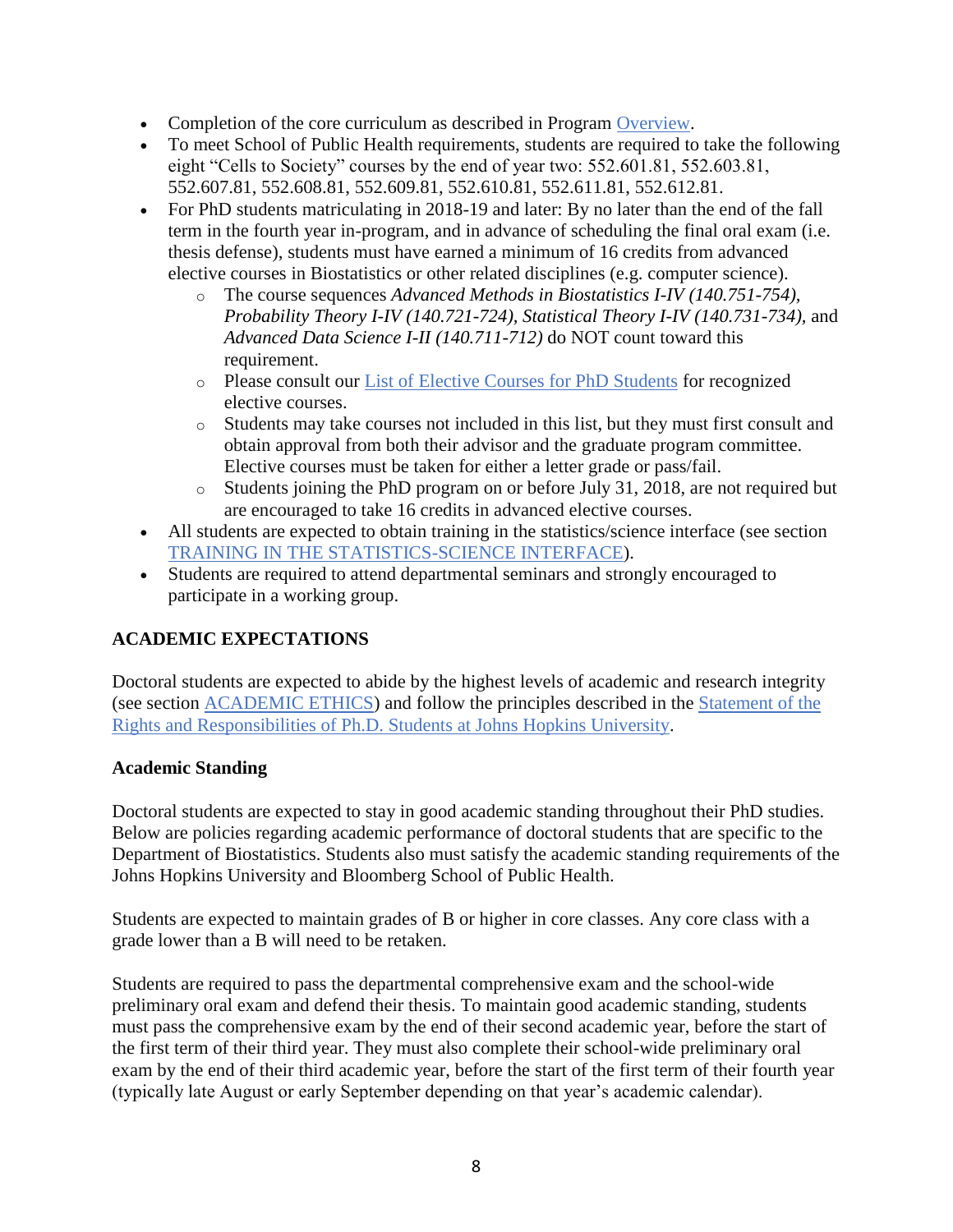- Completion of the core curriculum as described in Program [Overview.](#page-5-1)
- To meet School of Public Health requirements, students are required to take the following eight "Cells to Society" courses by the end of year two: 552.601.81, 552.603.81, 552.607.81, 552.608.81, 552.609.81, 552.610.81, 552.611.81, 552.612.81.
- For PhD students matriculating in 2018-19 and later: By no later than the end of the fall term in the fourth year in-program, and in advance of scheduling the final oral exam (i.e. thesis defense), students must have earned a minimum of 16 credits from advanced elective courses in Biostatistics or other related disciplines (e.g. computer science).
	- o The course sequences *Advanced Methods in Biostatistics I-IV (140.751-754), Probability Theory I-IV (140.721-724), Statistical Theory I-IV (140.731-734),* and *Advanced Data Science I-II (140.711-712)* do NOT count toward this requirement.
	- o Please consult our List of Elective Courses for PhD Students for recognized elective courses.
	- o Students may take courses not included in this list, but they must first consult and obtain approval from both their advisor and the graduate program committee. Elective courses must be taken for either a letter grade or pass/fail.
	- o Students joining the PhD program on or before July 31, 2018, are not required but are encouraged to take 16 credits in advanced elective courses.
- All students are expected to obtain training in the statistics/science interface (see section [TRAINING IN THE STATISTICS-SCIENCE INTERFACE\)](#page-14-2).
- Students are required to attend departmental seminars and strongly encouraged to participate in a working group.

# <span id="page-7-0"></span>**ACADEMIC EXPECTATIONS**

Doctoral students are expected to abide by the highest levels of academic and research integrity (see section [ACADEMIC ETHICS\)](#page-4-1) and follow the principles described in the Statement of the Rights and Responsibilities of Ph.D. Students at Johns Hopkins University.

# <span id="page-7-1"></span>**Academic Standing**

Doctoral students are expected to stay in good academic standing throughout their PhD studies. Below are policies regarding academic performance of doctoral students that are specific to the Department of Biostatistics. Students also must satisfy the academic standing requirements of the Johns Hopkins University and Bloomberg School of Public Health.

Students are expected to maintain grades of B or higher in core classes. Any core class with a grade lower than a B will need to be retaken.

Students are required to pass the departmental comprehensive exam and the school-wide preliminary oral exam and defend their thesis. To maintain good academic standing, students must pass the comprehensive exam by the end of their second academic year, before the start of the first term of their third year. They must also complete their school-wide preliminary oral exam by the end of their third academic year, before the start of the first term of their fourth year (typically late August or early September depending on that year's academic calendar).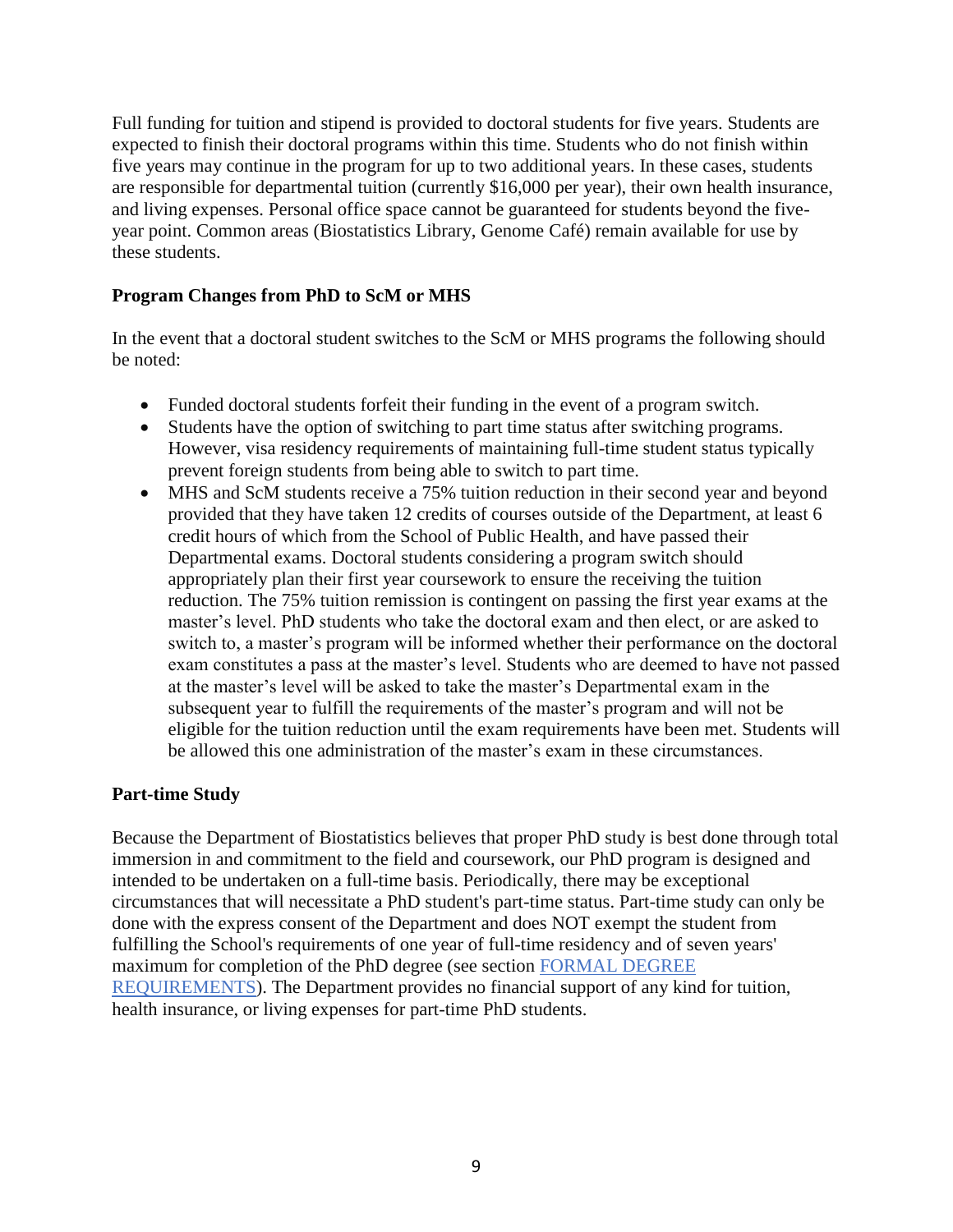Full funding for tuition and stipend is provided to doctoral students for five years. Students are expected to finish their doctoral programs within this time. Students who do not finish within five years may continue in the program for up to two additional years. In these cases, students are responsible for departmental tuition (currently \$16,000 per year), their own health insurance, and living expenses. Personal office space cannot be guaranteed for students beyond the fiveyear point. Common areas (Biostatistics Library, Genome Café) remain available for use by these students.

## <span id="page-8-0"></span>**Program Changes from PhD to ScM or MHS**

In the event that a doctoral student switches to the ScM or MHS programs the following should be noted:

- Funded doctoral students forfeit their funding in the event of a program switch.
- Students have the option of switching to part time status after switching programs. However, visa residency requirements of maintaining full-time student status typically prevent foreign students from being able to switch to part time.
- MHS and ScM students receive a 75% tuition reduction in their second year and beyond provided that they have taken 12 credits of courses outside of the Department, at least 6 credit hours of which from the School of Public Health, and have passed their Departmental exams. Doctoral students considering a program switch should appropriately plan their first year coursework to ensure the receiving the tuition reduction. The 75% tuition remission is contingent on passing the first year exams at the master's level. PhD students who take the doctoral exam and then elect, or are asked to switch to, a master's program will be informed whether their performance on the doctoral exam constitutes a pass at the master's level. Students who are deemed to have not passed at the master's level will be asked to take the master's Departmental exam in the subsequent year to fulfill the requirements of the master's program and will not be eligible for the tuition reduction until the exam requirements have been met. Students will be allowed this one administration of the master's exam in these circumstances.

### <span id="page-8-1"></span>**Part-time Study**

Because the Department of Biostatistics believes that proper PhD study is best done through total immersion in and commitment to the field and coursework, our PhD program is designed and intended to be undertaken on a full-time basis. Periodically, there may be exceptional circumstances that will necessitate a PhD student's part-time status. Part-time study can only be done with the express consent of the Department and does NOT exempt the student from fulfilling the School's requirements of one year of full-time residency and of seven years' maximum for completion of the PhD degree (see section [FORMAL DEGREE](#page-6-0)  [REQUIREMENTS\)](#page-6-0). The Department provides no financial support of any kind for tuition, health insurance, or living expenses for part-time PhD students.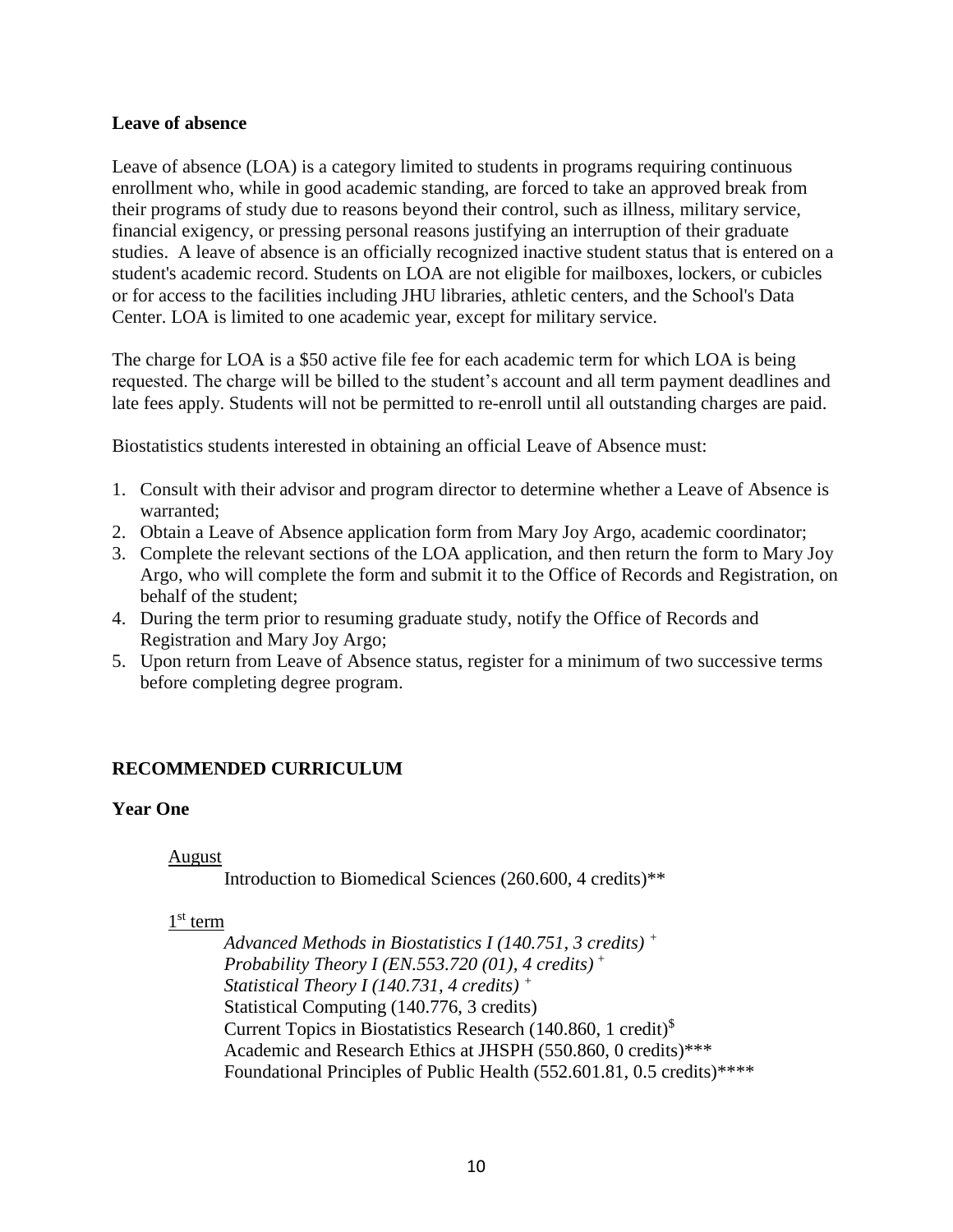#### <span id="page-9-0"></span>**Leave of absence**

Leave of absence (LOA) is a category limited to students in programs requiring continuous enrollment who, while in good academic standing, are forced to take an approved break from their programs of study due to reasons beyond their control, such as illness, military service, financial exigency, or pressing personal reasons justifying an interruption of their graduate studies. A leave of absence is an officially recognized inactive student status that is entered on a student's academic record. Students on LOA are not eligible for mailboxes, lockers, or cubicles or for access to the facilities including JHU libraries, athletic centers, and the School's Data Center. LOA is limited to one academic year, except for military service.

The charge for LOA is a \$50 active file fee for each academic term for which LOA is being requested. The charge will be billed to the student's account and all term payment deadlines and late fees apply. Students will not be permitted to re-enroll until all outstanding charges are paid.

Biostatistics students interested in obtaining an official Leave of Absence must:

- 1. Consult with their advisor and program director to determine whether a Leave of Absence is warranted;
- 2. Obtain a Leave of Absence application form from Mary Joy Argo, academic coordinator;
- 3. Complete the relevant sections of the LOA application, and then return the form to Mary Joy Argo, who will complete the form and submit it to the Office of Records and Registration, on behalf of the student;
- 4. During the term prior to resuming graduate study, notify the Office of Records and Registration and Mary Joy Argo;
- 5. Upon return from Leave of Absence status, register for a minimum of two successive terms before completing degree program.

### <span id="page-9-1"></span>**RECOMMENDED CURRICULUM**

#### <span id="page-9-2"></span>**Year One**

#### August

Introduction to Biomedical Sciences (260.600, 4 credits)\*\*

#### 1<sup>st</sup> term

*Advanced Methods in Biostatistics I (140.751, 3 credits) <sup>+</sup> Probability Theory I (EN.553.720 (01), 4 credits) <sup>+</sup> Statistical Theory I (140.731, 4 credits) <sup>+</sup>* Statistical Computing (140.776, 3 credits) Current Topics in Biostatistics Research (140.860, 1 credit)\$ Academic and Research Ethics at JHSPH (550.860, 0 credits)\*\*\* Foundational Principles of Public Health (552.601.81, 0.5 credits)\*\*\*\*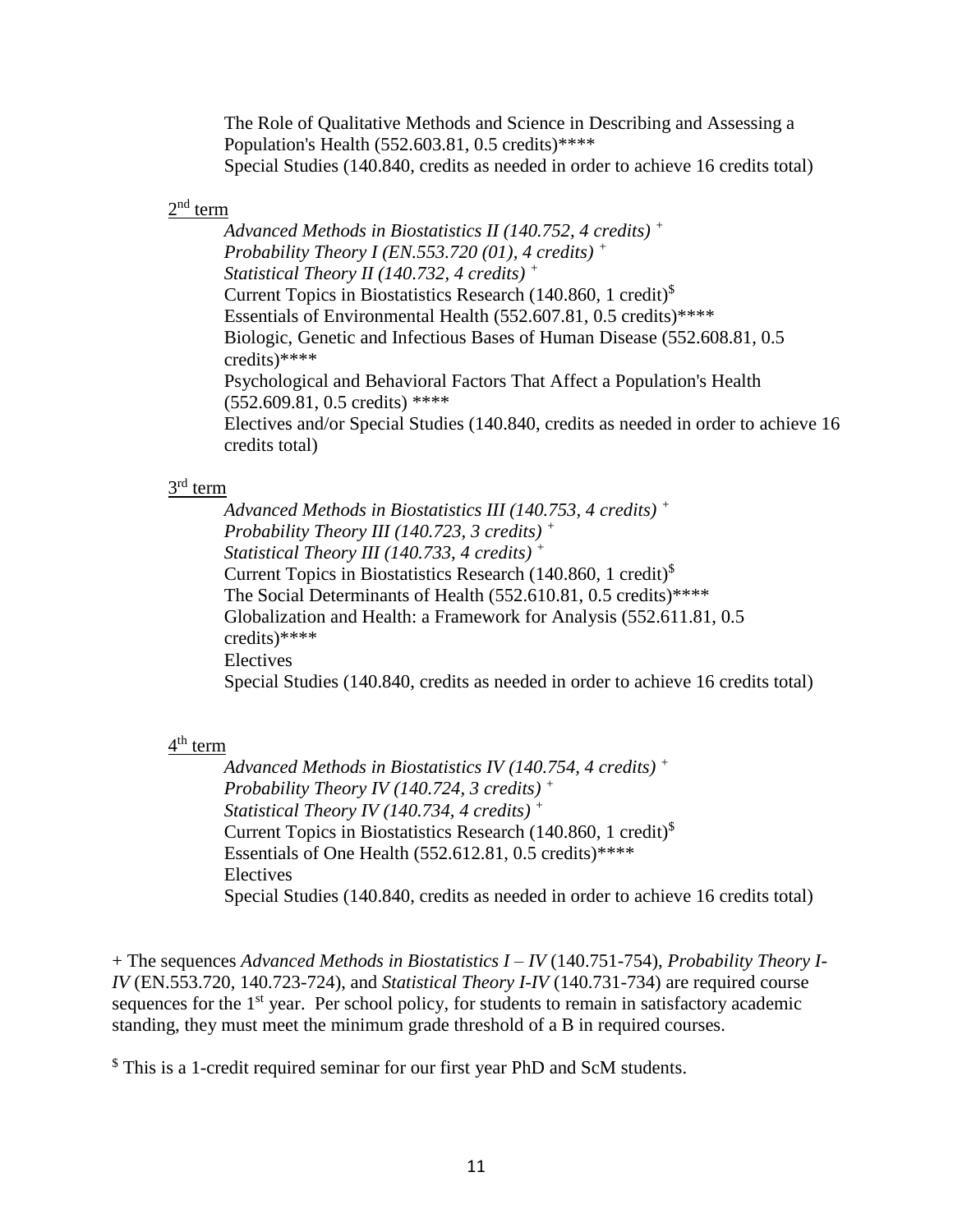The Role of Qualitative Methods and Science in Describing and Assessing a Population's Health (552.603.81, 0.5 credits)\*\*\*\* Special Studies (140.840, credits as needed in order to achieve 16 credits total)

#### $2<sup>nd</sup>$  term

*Advanced Methods in Biostatistics II (140.752, 4 credits) <sup>+</sup> Probability Theory I (EN.553.720 (01), 4 credits) <sup>+</sup> Statistical Theory II (140.732, 4 credits) <sup>+</sup>* Current Topics in Biostatistics Research (140.860, 1 credit)\$ Essentials of Environmental Health (552.607.81, 0.5 credits)\*\*\*\* Biologic, Genetic and Infectious Bases of Human Disease (552.608.81, 0.5 credits)\*\*\*\* Psychological and Behavioral Factors That Affect a Population's Health (552.609.81, 0.5 credits) \*\*\*\* Electives and/or Special Studies (140.840, credits as needed in order to achieve 16 credits total)

#### $3^{\text{rd}}$  term

*Advanced Methods in Biostatistics III (140.753, 4 credits) <sup>+</sup> Probability Theory III (140.723, 3 credits) <sup>+</sup> Statistical Theory III (140.733, 4 credits) <sup>+</sup>* Current Topics in Biostatistics Research (140.860, 1 credit)\$ The Social Determinants of Health (552.610.81, 0.5 credits)\*\*\*\* Globalization and Health: a Framework for Analysis (552.611.81, 0.5 credits)\*\*\*\* Electives Special Studies (140.840, credits as needed in order to achieve 16 credits total)

#### 4<sup>th</sup> term

*Advanced Methods in Biostatistics IV (140.754, 4 credits) <sup>+</sup> Probability Theory IV (140.724, 3 credits) <sup>+</sup> Statistical Theory IV (140.734, 4 credits) <sup>+</sup>* Current Topics in Biostatistics Research (140.860, 1 credit)\$ Essentials of One Health  $(552.612.81, 0.5 \text{ credits})$ \*\*\*\* Electives Special Studies (140.840, credits as needed in order to achieve 16 credits total)

+ The sequences *Advanced Methods in Biostatistics I – IV* (140.751-754), *Probability Theory I-IV* (EN.553.720, 140.723-724), and *Statistical Theory I-IV* (140.731-734) are required course sequences for the  $1<sup>st</sup>$  year. Per school policy, for students to remain in satisfactory academic standing, they must meet the minimum grade threshold of a B in required courses.

\$ This is a 1-credit required seminar for our first year PhD and ScM students.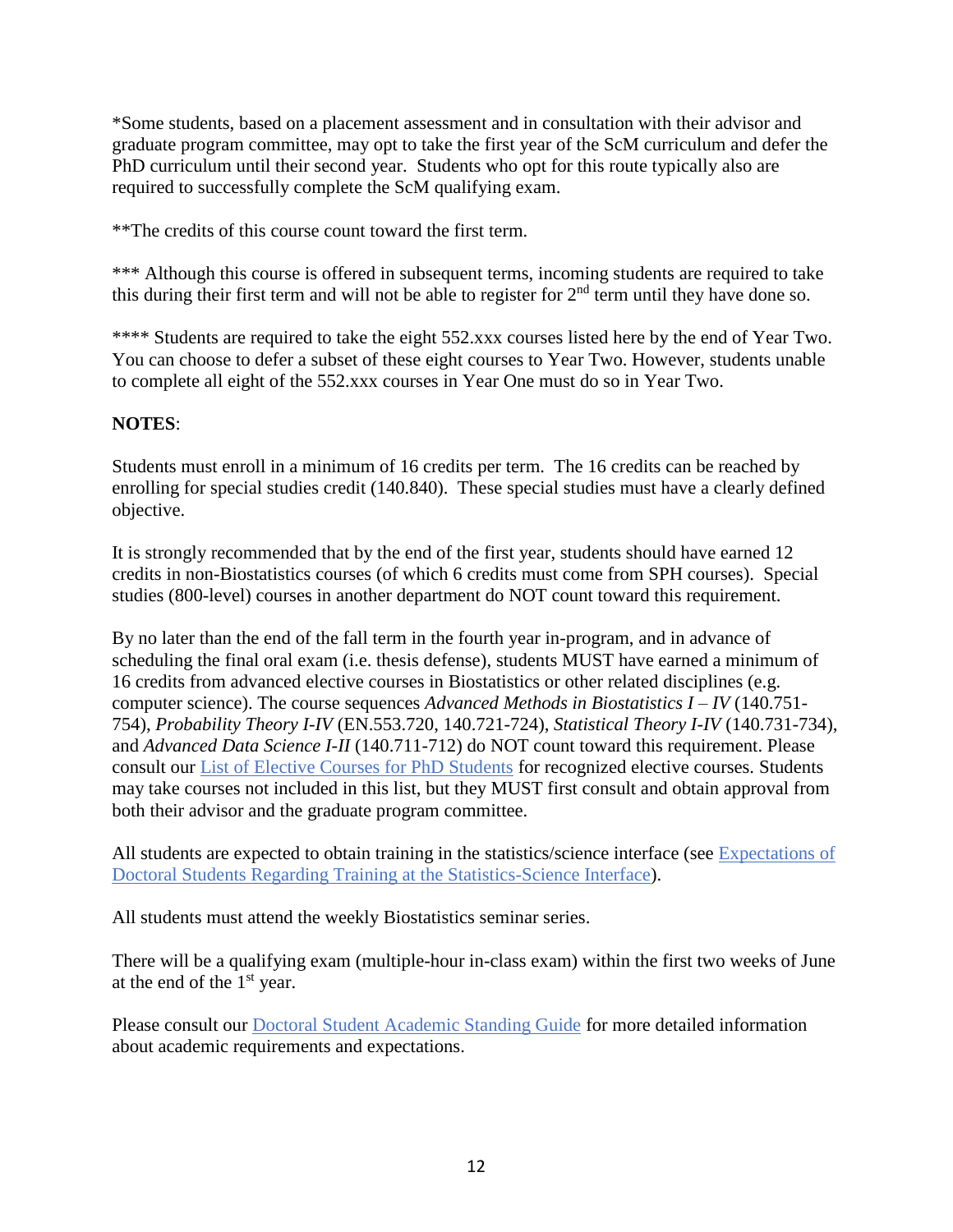\*Some students, based on a placement assessment and in consultation with their advisor and graduate program committee, may opt to take the first year of the ScM curriculum and defer the PhD curriculum until their second year. Students who opt for this route typically also are required to successfully complete the ScM qualifying exam.

\*\*The credits of this course count toward the first term.

\*\*\* Although this course is offered in subsequent terms, incoming students are required to take this during their first term and will not be able to register for 2<sup>nd</sup> term until they have done so.

\*\*\*\* Students are required to take the eight 552.xxx courses listed here by the end of Year Two. You can choose to defer a subset of these eight courses to Year Two. However, students unable to complete all eight of the 552.xxx courses in Year One must do so in Year Two.

#### **NOTES**:

Students must enroll in a minimum of 16 credits per term. The 16 credits can be reached by enrolling for special studies credit (140.840). These special studies must have a clearly defined objective.

It is strongly recommended that by the end of the first year, students should have earned 12 credits in non-Biostatistics courses (of which 6 credits must come from SPH courses). Special studies (800-level) courses in another department do NOT count toward this requirement.

By no later than the end of the fall term in the fourth year in-program, and in advance of scheduling the final oral exam (i.e. thesis defense), students MUST have earned a minimum of 16 credits from advanced elective courses in Biostatistics or other related disciplines (e.g. computer science). The course sequences *Advanced Methods in Biostatistics I – IV* (140.751- 754), *Probability Theory I-IV* (EN.553.720, 140.721-724), *Statistical Theory I-IV* (140.731-734), and *Advanced Data Science I-II* (140.711-712) do NOT count toward this requirement. Please consult our List of Elective Courses for PhD Students for recognized elective courses. Students may take courses not included in this list, but they MUST first consult and obtain approval from both their advisor and the graduate program committee.

All students are expected to obtain training in the statistics/science interface (see Expectations of Doctoral Students Regarding Training at the Statistics-Science Interface).

All students must attend the weekly Biostatistics seminar series.

There will be a qualifying exam (multiple-hour in-class exam) within the first two weeks of June at the end of the  $1<sup>st</sup>$  year.

Please consult our Doctoral Student Academic Standing Guide for more detailed information about academic requirements and expectations.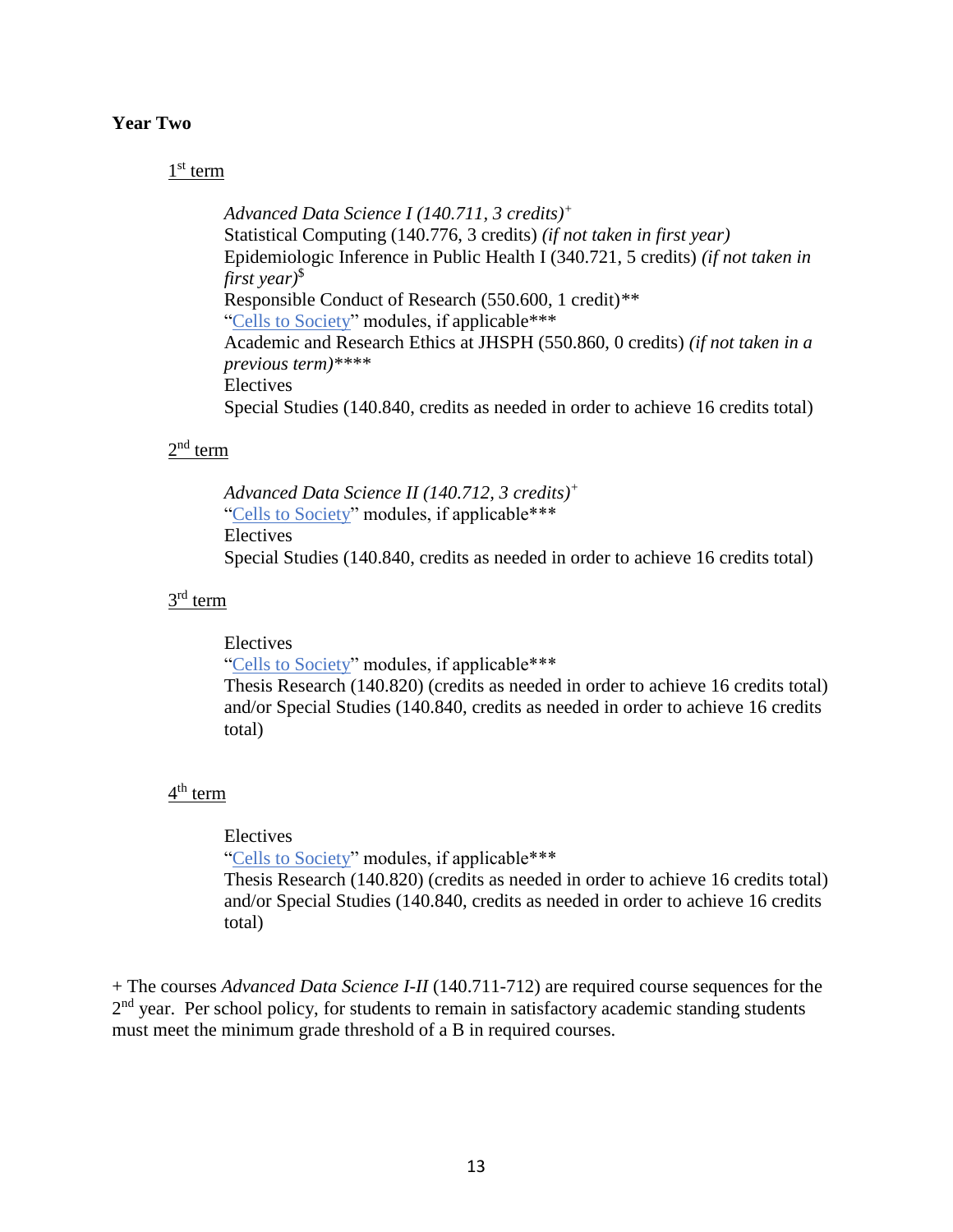#### <span id="page-12-0"></span>**Year Two**

#### 1<sup>st</sup> term

*Advanced Data Science I (140.711, 3 credits)<sup>+</sup>* Statistical Computing (140.776, 3 credits) *(if not taken in first year)* Epidemiologic Inference in Public Health I (340.721, 5 credits) *(if not taken in first year)*\$ Responsible Conduct of Research (550.600, 1 credit)*\*\** "Cells to Society" modules, if applicable\*\*\* Academic and Research Ethics at JHSPH (550.860, 0 credits) *(if not taken in a previous term)\*\*\*\** Electives Special Studies (140.840, credits as needed in order to achieve 16 credits total)

#### $2<sup>nd</sup>$  term

*Advanced Data Science II (140.712, 3 credits)<sup>+</sup>* "Cells to Society" modules, if applicable\*\*\* Electives Special Studies (140.840, credits as needed in order to achieve 16 credits total)

#### $3^{\text{rd}}$  term

Electives "Cells to Society" modules, if applicable\*\*\* Thesis Research (140.820) (credits as needed in order to achieve 16 credits total) and/or Special Studies (140.840, credits as needed in order to achieve 16 credits total)

#### 4<sup>th</sup> term

#### Electives

"Cells to Society" modules, if applicable\*\*\* Thesis Research (140.820) (credits as needed in order to achieve 16 credits total) and/or Special Studies (140.840, credits as needed in order to achieve 16 credits total)

+ The courses *Advanced Data Science I-II* (140.711-712) are required course sequences for the 2<sup>nd</sup> year. Per school policy, for students to remain in satisfactory academic standing students must meet the minimum grade threshold of a B in required courses.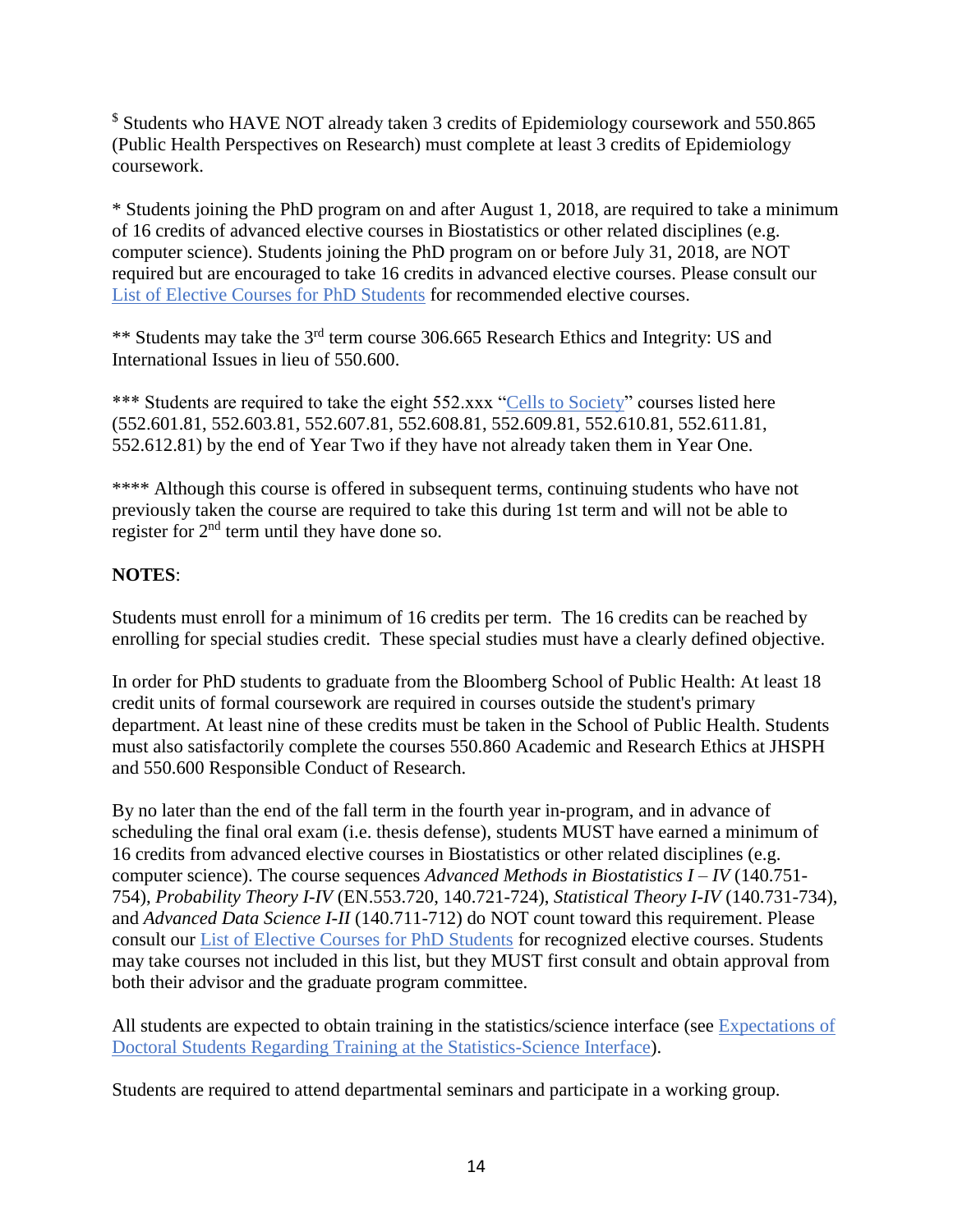\$ Students who HAVE NOT already taken 3 credits of Epidemiology coursework and 550.865 (Public Health Perspectives on Research) must complete at least 3 credits of Epidemiology coursework.

\* Students joining the PhD program on and after August 1, 2018, are required to take a minimum of 16 credits of advanced elective courses in Biostatistics or other related disciplines (e.g. computer science). Students joining the PhD program on or before July 31, 2018, are NOT required but are encouraged to take 16 credits in advanced elective courses. Please consult our List of Elective Courses for PhD Students for recommended elective courses.

\*\* Students may take the 3rd term course 306.665 Research Ethics and Integrity: US and International Issues in lieu of 550.600.

\*\*\* Students are required to take the eight 552.xxx "Cells to Society" courses listed here (552.601.81, 552.603.81, 552.607.81, 552.608.81, 552.609.81, 552.610.81, 552.611.81, 552.612.81) by the end of Year Two if they have not already taken them in Year One.

\*\*\*\* Although this course is offered in subsequent terms, continuing students who have not previously taken the course are required to take this during 1st term and will not be able to register for  $2<sup>nd</sup>$  term until they have done so.

## **NOTES**:

Students must enroll for a minimum of 16 credits per term. The 16 credits can be reached by enrolling for special studies credit. These special studies must have a clearly defined objective.

In order for PhD students to graduate from the Bloomberg School of Public Health: At least 18 credit units of formal coursework are required in courses outside the student's primary department. At least nine of these credits must be taken in the School of Public Health. Students must also satisfactorily complete the courses 550.860 Academic and Research Ethics at JHSPH and 550.600 Responsible Conduct of Research.

By no later than the end of the fall term in the fourth year in-program, and in advance of scheduling the final oral exam (i.e. thesis defense), students MUST have earned a minimum of 16 credits from advanced elective courses in Biostatistics or other related disciplines (e.g. computer science). The course sequences *Advanced Methods in Biostatistics I – IV* (140.751- 754), *Probability Theory I-IV* (EN.553.720, 140.721-724), *Statistical Theory I-IV* (140.731-734), and *Advanced Data Science I-II* (140.711-712) do NOT count toward this requirement. Please consult our List of Elective Courses for PhD Students for recognized elective courses. Students may take courses not included in this list, but they MUST first consult and obtain approval from both their advisor and the graduate program committee.

All students are expected to obtain training in the statistics/science interface (see Expectations of Doctoral Students Regarding Training at the Statistics-Science Interface).

Students are required to attend departmental seminars and participate in a working group.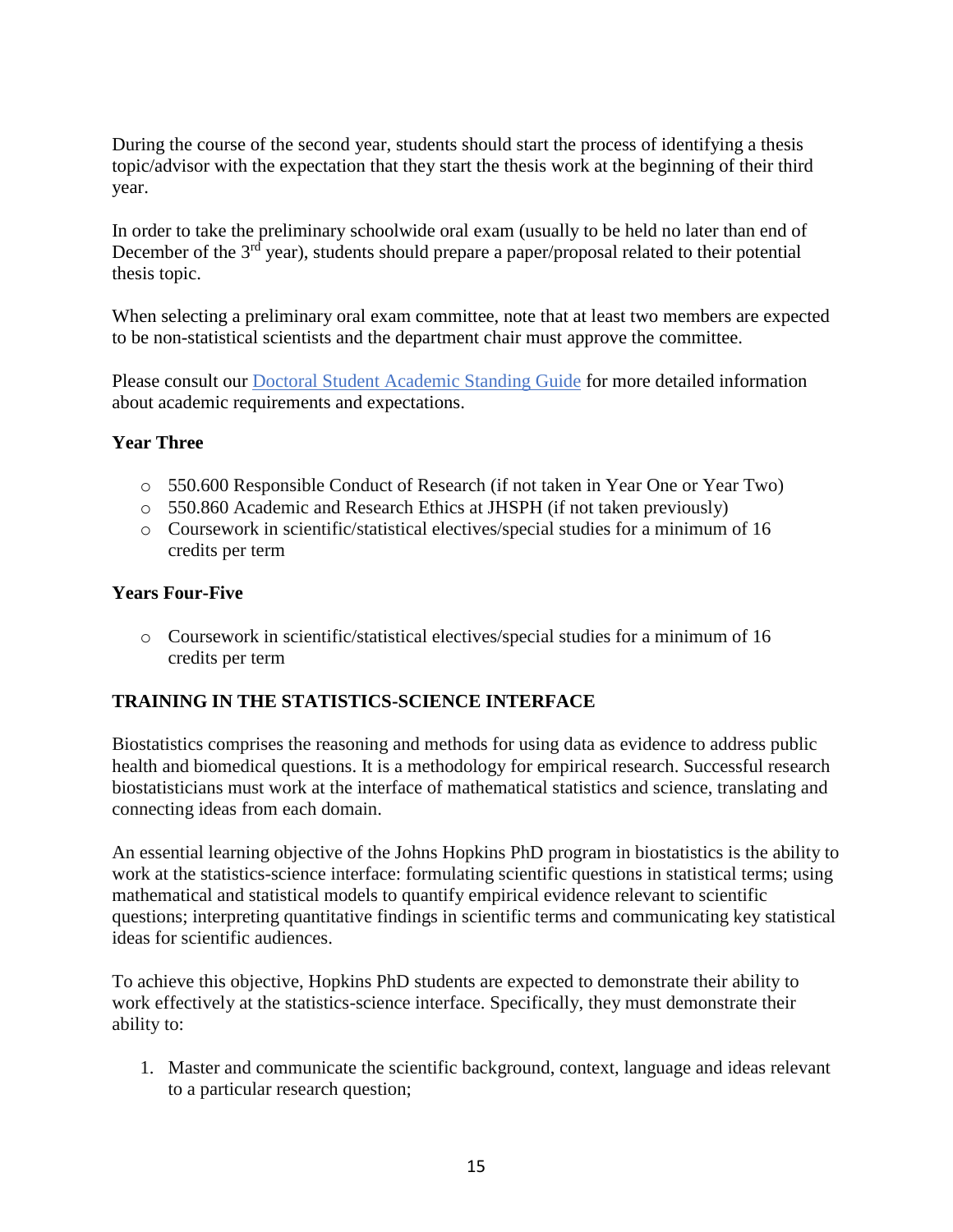During the course of the second year, students should start the process of identifying a thesis topic/advisor with the expectation that they start the thesis work at the beginning of their third year.

In order to take the preliminary schoolwide oral exam (usually to be held no later than end of December of the  $3<sup>rd</sup>$  year), students should prepare a paper/proposal related to their potential thesis topic.

When selecting a preliminary oral exam committee, note that at least two members are expected to be non-statistical scientists and the department chair must approve the committee.

Please consult our Doctoral Student Academic Standing Guide for more detailed information about academic requirements and expectations.

#### <span id="page-14-0"></span>**Year Three**

- o 550.600 Responsible Conduct of Research (if not taken in Year One or Year Two)
- o 550.860 Academic and Research Ethics at JHSPH (if not taken previously)
- o Coursework in scientific/statistical electives/special studies for a minimum of 16 credits per term

#### <span id="page-14-1"></span>**Years Four-Five**

o Coursework in scientific/statistical electives/special studies for a minimum of 16 credits per term

### <span id="page-14-2"></span>**TRAINING IN THE STATISTICS-SCIENCE INTERFACE**

Biostatistics comprises the reasoning and methods for using data as evidence to address public health and biomedical questions. It is a methodology for empirical research. Successful research biostatisticians must work at the interface of mathematical statistics and science, translating and connecting ideas from each domain.

An essential learning objective of the Johns Hopkins PhD program in biostatistics is the ability to work at the statistics-science interface: formulating scientific questions in statistical terms; using mathematical and statistical models to quantify empirical evidence relevant to scientific questions; interpreting quantitative findings in scientific terms and communicating key statistical ideas for scientific audiences.

To achieve this objective, Hopkins PhD students are expected to demonstrate their ability to work effectively at the statistics-science interface. Specifically, they must demonstrate their ability to:

1. Master and communicate the scientific background, context, language and ideas relevant to a particular research question;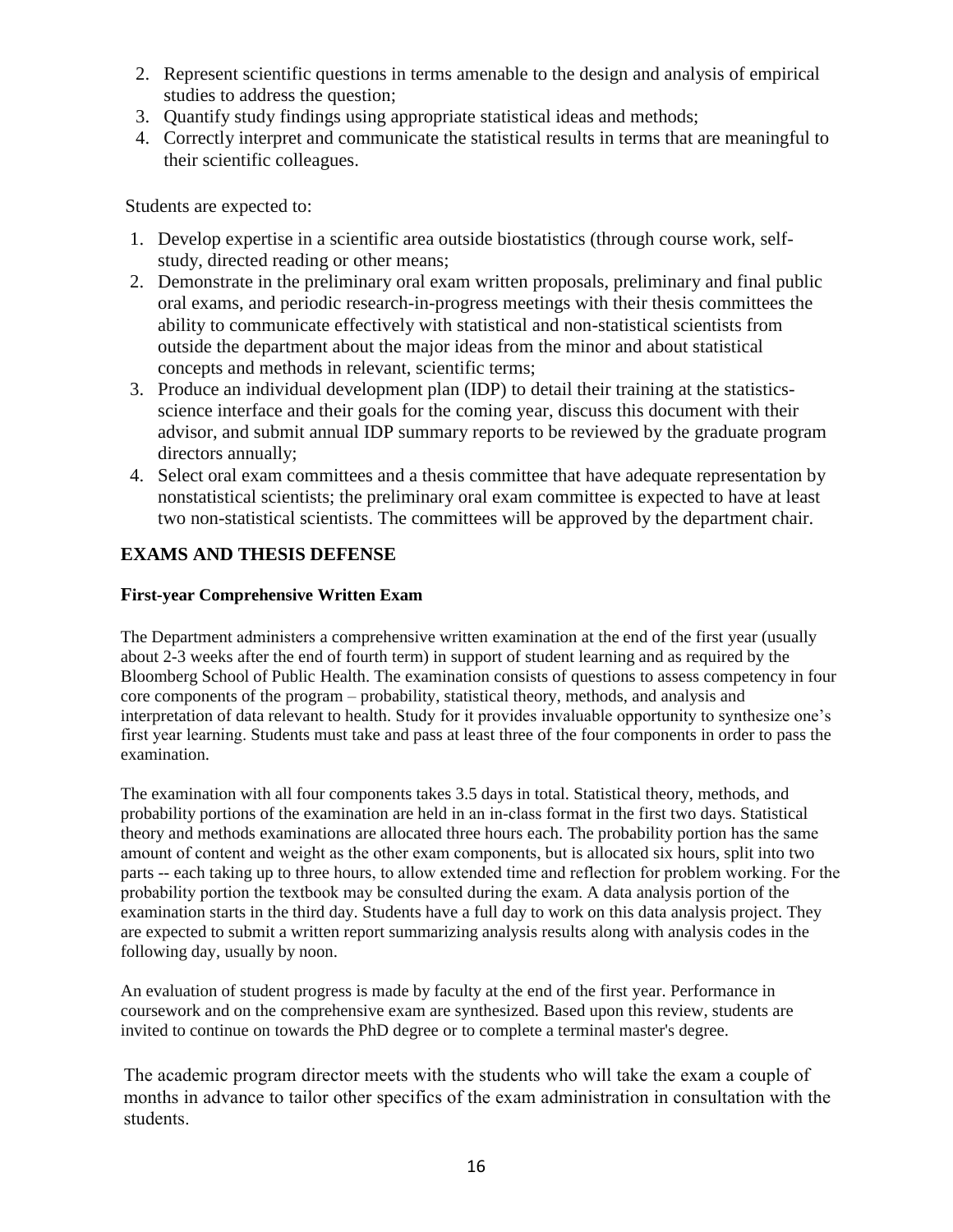- 2. Represent scientific questions in terms amenable to the design and analysis of empirical studies to address the question;
- 3. Quantify study findings using appropriate statistical ideas and methods;
- 4. Correctly interpret and communicate the statistical results in terms that are meaningful to their scientific colleagues.

Students are expected to:

- 1. Develop expertise in a scientific area outside biostatistics (through course work, selfstudy, directed reading or other means;
- 2. Demonstrate in the preliminary oral exam written proposals, preliminary and final public oral exams, and periodic research-in-progress meetings with their thesis committees the ability to communicate effectively with statistical and non-statistical scientists from outside the department about the major ideas from the minor and about statistical concepts and methods in relevant, scientific terms;
- 3. Produce an individual development plan (IDP) to detail their training at the statisticsscience interface and their goals for the coming year, discuss this document with their advisor, and submit annual IDP summary reports to be reviewed by the graduate program directors annually;
- 4. Select oral exam committees and a thesis committee that have adequate representation by nonstatistical scientists; the preliminary oral exam committee is expected to have at least two non-statistical scientists. The committees will be approved by the department chair.

# **EXAMS AND THESIS DEFENSE**

### **First-year Comprehensive Written Exam**

<span id="page-15-1"></span><span id="page-15-0"></span>The Department administers a comprehensive written examination at the end of the first year (usually about 2-3 weeks after the end of fourth term) in support of student learning and as required by the Bloomberg School of Public Health. The examination consists of questions to assess competency in four core components of the program – probability, statistical theory, methods, and analysis and interpretation of data relevant to health. Study for it provides invaluable opportunity to synthesize one's first year learning. Students must take and pass at least three of the four components in order to pass the examination.

The examination with all four components takes 3.5 days in total. Statistical theory, methods, and probability portions of the examination are held in an in-class format in the first two days. Statistical theory and methods examinations are allocated three hours each. The probability portion has the same amount of content and weight as the other exam components, but is allocated six hours, split into two parts -- each taking up to three hours, to allow extended time and reflection for problem working. For the probability portion the textbook may be consulted during the exam. A data analysis portion of the examination starts in the third day. Students have a full day to work on this data analysis project. They are expected to submit a written report summarizing analysis results along with analysis codes in the following day, usually by noon.

An evaluation of student progress is made by faculty at the end of the first year. Performance in coursework and on the comprehensive exam are synthesized. Based upon this review, students are invited to continue on towards the PhD degree or to complete a terminal master's degree.

The academic program director meets with the students who will take the exam a couple of months in advance to tailor other specifics of the exam administration in consultation with the students.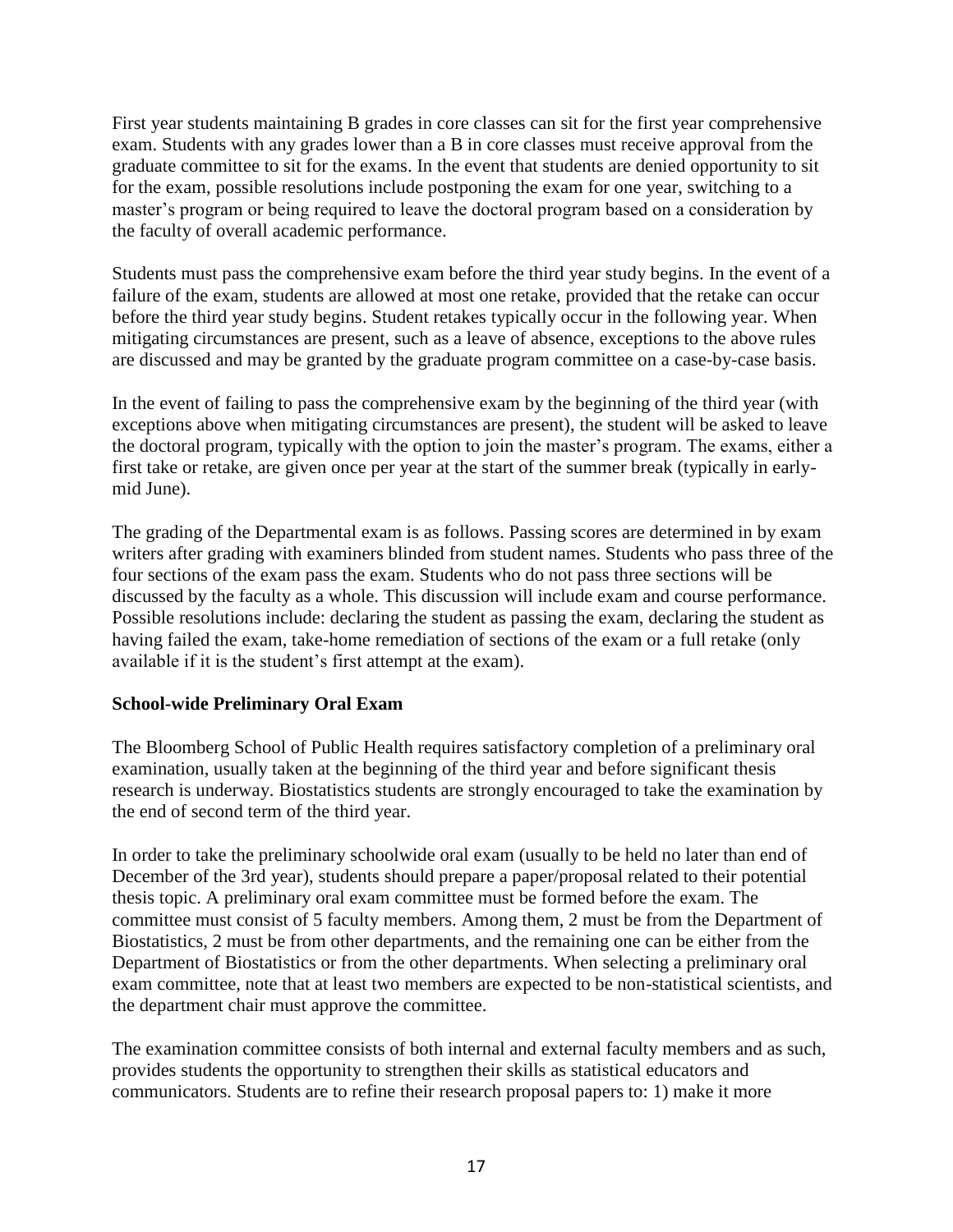First year students maintaining B grades in core classes can sit for the first year comprehensive exam. Students with any grades lower than a B in core classes must receive approval from the graduate committee to sit for the exams. In the event that students are denied opportunity to sit for the exam, possible resolutions include postponing the exam for one year, switching to a master's program or being required to leave the doctoral program based on a consideration by the faculty of overall academic performance.

Students must pass the comprehensive exam before the third year study begins. In the event of a failure of the exam, students are allowed at most one retake, provided that the retake can occur before the third year study begins. Student retakes typically occur in the following year. When mitigating circumstances are present, such as a leave of absence, exceptions to the above rules are discussed and may be granted by the graduate program committee on a case-by-case basis.

In the event of failing to pass the comprehensive exam by the beginning of the third year (with exceptions above when mitigating circumstances are present), the student will be asked to leave the doctoral program, typically with the option to join the master's program. The exams, either a first take or retake, are given once per year at the start of the summer break (typically in earlymid June).

The grading of the Departmental exam is as follows. Passing scores are determined in by exam writers after grading with examiners blinded from student names. Students who pass three of the four sections of the exam pass the exam. Students who do not pass three sections will be discussed by the faculty as a whole. This discussion will include exam and course performance. Possible resolutions include: declaring the student as passing the exam, declaring the student as having failed the exam, take-home remediation of sections of the exam or a full retake (only available if it is the student's first attempt at the exam).

### <span id="page-16-0"></span>**School-wide Preliminary Oral Exam**

The Bloomberg School of Public Health requires satisfactory completion of a preliminary oral examination, usually taken at the beginning of the third year and before significant thesis research is underway. Biostatistics students are strongly encouraged to take the examination by the end of second term of the third year.

In order to take the preliminary schoolwide oral exam (usually to be held no later than end of December of the 3rd year), students should prepare a paper/proposal related to their potential thesis topic. A preliminary oral exam committee must be formed before the exam. The committee must consist of 5 faculty members. Among them, 2 must be from the Department of Biostatistics, 2 must be from other departments, and the remaining one can be either from the Department of Biostatistics or from the other departments. When selecting a preliminary oral exam committee, note that at least two members are expected to be non-statistical scientists, and the department chair must approve the committee.

The examination committee consists of both internal and external faculty members and as such, provides students the opportunity to strengthen their skills as statistical educators and communicators. Students are to refine their research proposal papers to: 1) make it more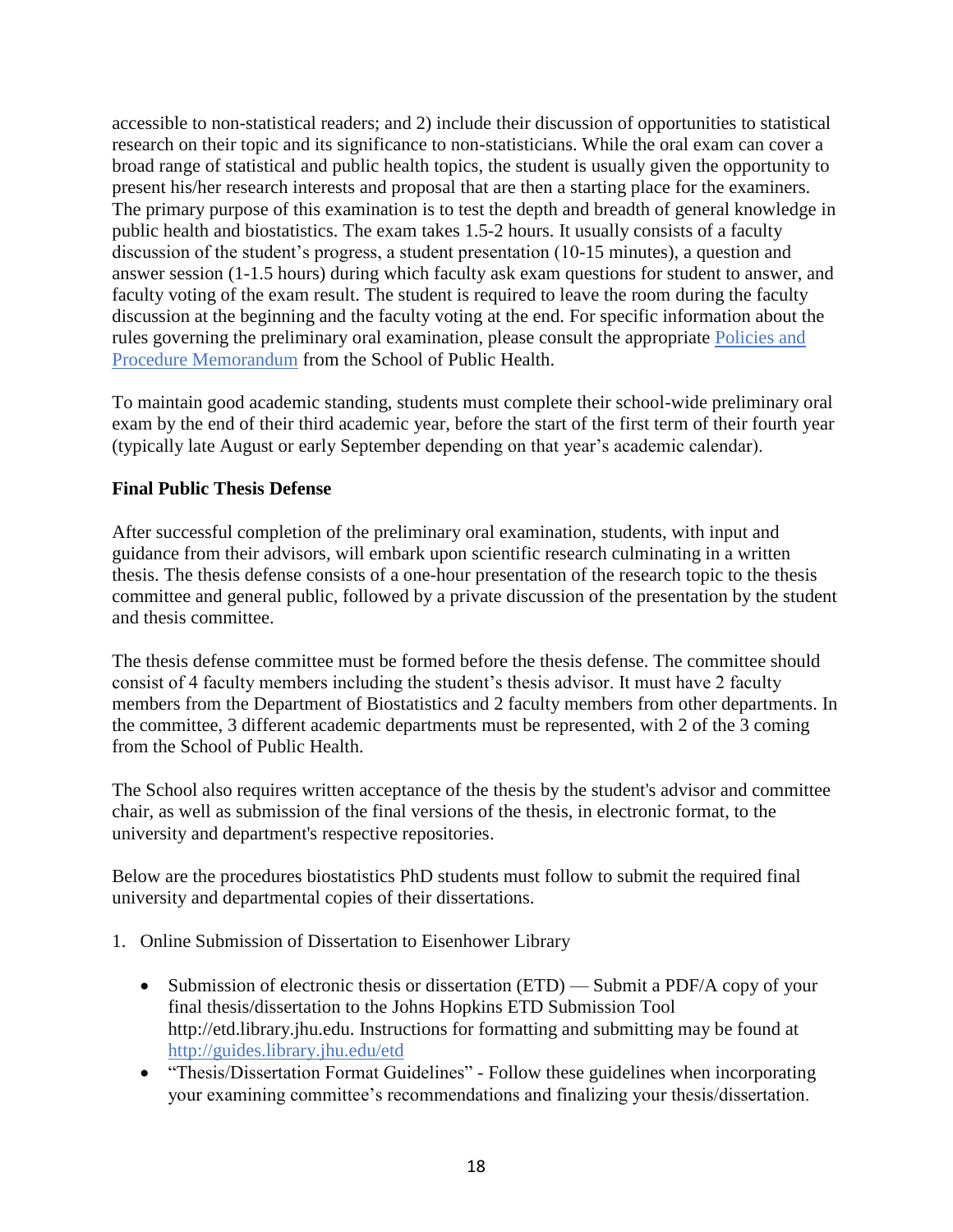accessible to non-statistical readers; and 2) include their discussion of opportunities to statistical research on their topic and its significance to non-statisticians. While the oral exam can cover a broad range of statistical and public health topics, the student is usually given the opportunity to present his/her research interests and proposal that are then a starting place for the examiners. The primary purpose of this examination is to test the depth and breadth of general knowledge in public health and biostatistics. The exam takes 1.5-2 hours. It usually consists of a faculty discussion of the student's progress, a student presentation (10-15 minutes), a question and answer session (1-1.5 hours) during which faculty ask exam questions for student to answer, and faculty voting of the exam result. The student is required to leave the room during the faculty discussion at the beginning and the faculty voting at the end. For specific information about the rules governing the preliminary oral examination, please consult the appropriate Policies and Procedure Memorandum from the School of Public Health.

To maintain good academic standing, students must complete their school-wide preliminary oral exam by the end of their third academic year, before the start of the first term of their fourth year (typically late August or early September depending on that year's academic calendar).

### <span id="page-17-0"></span>**Final Public Thesis Defense**

After successful completion of the preliminary oral examination, students, with input and guidance from their advisors, will embark upon scientific research culminating in a written thesis. The thesis defense consists of a one-hour presentation of the research topic to the thesis committee and general public, followed by a private discussion of the presentation by the student and thesis committee.

The thesis defense committee must be formed before the thesis defense. The committee should consist of 4 faculty members including the student's thesis advisor. It must have 2 faculty members from the Department of Biostatistics and 2 faculty members from other departments. In the committee, 3 different academic departments must be represented, with 2 of the 3 coming from the School of Public Health.

The School also requires written acceptance of the thesis by the student's advisor and committee chair, as well as submission of the final versions of the thesis, in electronic format, to the university and department's respective repositories.

Below are the procedures biostatistics PhD students must follow to submit the required final university and departmental copies of their dissertations.

- 1. Online Submission of Dissertation to Eisenhower Library
	- Submission of electronic thesis or dissertation (ETD) Submit a PDF/A copy of your final thesis/dissertation to the Johns Hopkins ETD Submission Tool http://etd.library.jhu.edu. Instructions for formatting and submitting may be found at http://guides.library.jhu.edu/etd
	- "Thesis/Dissertation Format Guidelines" Follow these guidelines when incorporating your examining committee's recommendations and finalizing your thesis/dissertation.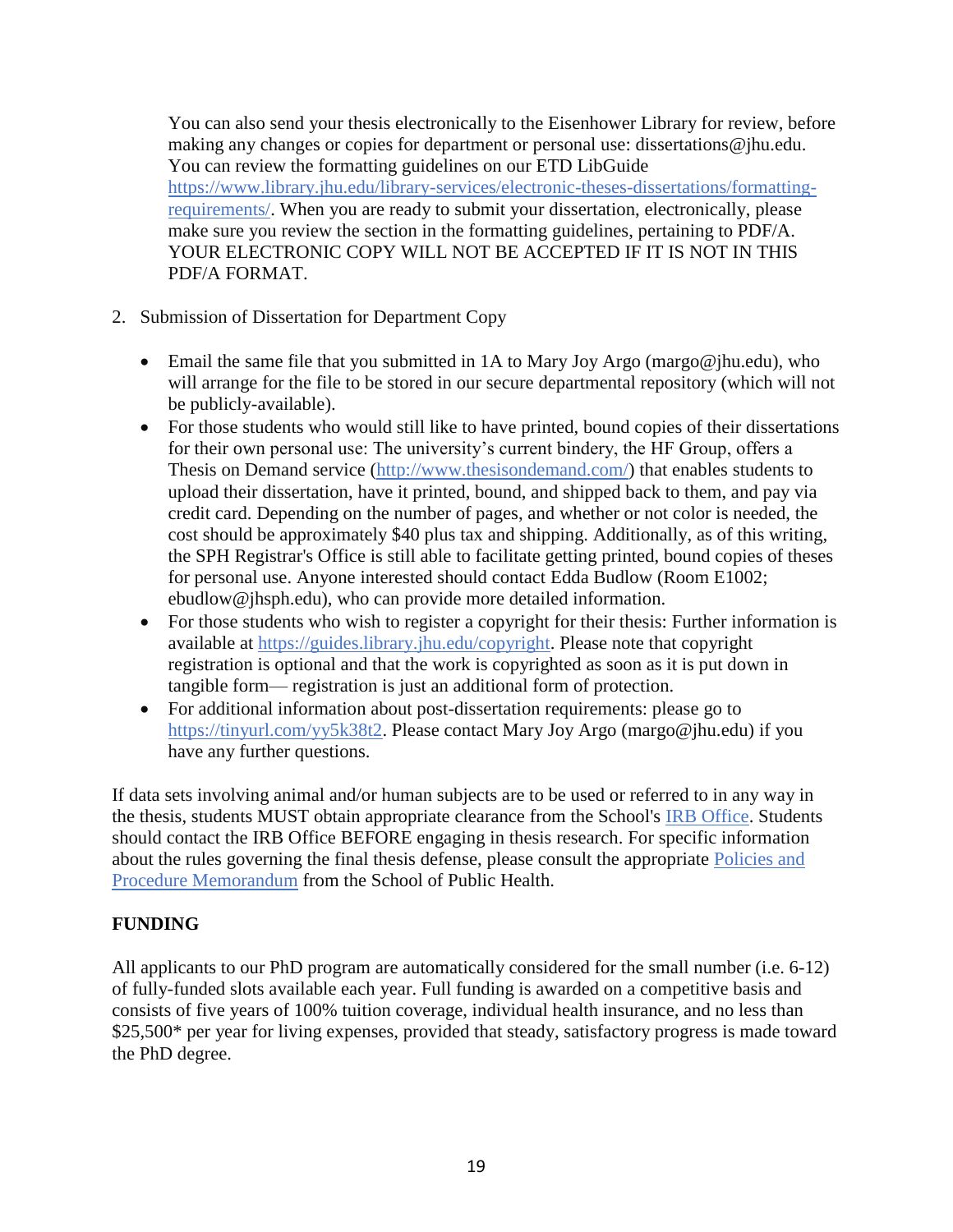You can also send your thesis electronically to the Eisenhower Library for review, before making any changes or copies for department or personal use: dissertations@jhu.edu. You can review the formatting guidelines on our ETD LibGuide https://www.library.jhu.edu/library-services/electronic-theses-dissertations/formattingrequirements/. When you are ready to submit your dissertation, electronically, please make sure you review the section in the formatting guidelines, pertaining to PDF/A. YOUR ELECTRONIC COPY WILL NOT BE ACCEPTED IF IT IS NOT IN THIS PDF/A FORMAT.

- 2. Submission of Dissertation for Department Copy
	- Email the same file that you submitted in 1A to Mary Joy Argo (margo@jhu.edu), who will arrange for the file to be stored in our secure departmental repository (which will not be publicly-available).
	- For those students who would still like to have printed, bound copies of their dissertations for their own personal use: The university's current bindery, the HF Group, offers a Thesis on Demand service (http://www.thesisondemand.com/) that enables students to upload their dissertation, have it printed, bound, and shipped back to them, and pay via credit card. Depending on the number of pages, and whether or not color is needed, the cost should be approximately \$40 plus tax and shipping. Additionally, as of this writing, the SPH Registrar's Office is still able to facilitate getting printed, bound copies of theses for personal use. Anyone interested should contact Edda Budlow (Room E1002; ebudlow@jhsph.edu), who can provide more detailed information.
	- For those students who wish to register a copyright for their thesis: Further information is available at https://guides.library.jhu.edu/copyright. Please note that copyright registration is optional and that the work is copyrighted as soon as it is put down in tangible form— registration is just an additional form of protection.
	- For additional information about post-dissertation requirements: please go to https://tinyurl.com/yy5k38t2. Please contact Mary Joy Argo (margo@jhu.edu) if you have any further questions.

If data sets involving animal and/or human subjects are to be used or referred to in any way in the thesis, students MUST obtain appropriate clearance from the School's IRB Office. Students should contact the IRB Office BEFORE engaging in thesis research. For specific information about the rules governing the final thesis defense, please consult the appropriate Policies and Procedure Memorandum from the School of Public Health.

### <span id="page-18-0"></span>**FUNDING**

All applicants to our PhD program are automatically considered for the small number (i.e. 6-12) of fully-funded slots available each year. Full funding is awarded on a competitive basis and consists of five years of 100% tuition coverage, individual health insurance, and no less than \$25,500\* per year for living expenses, provided that steady, satisfactory progress is made toward the PhD degree.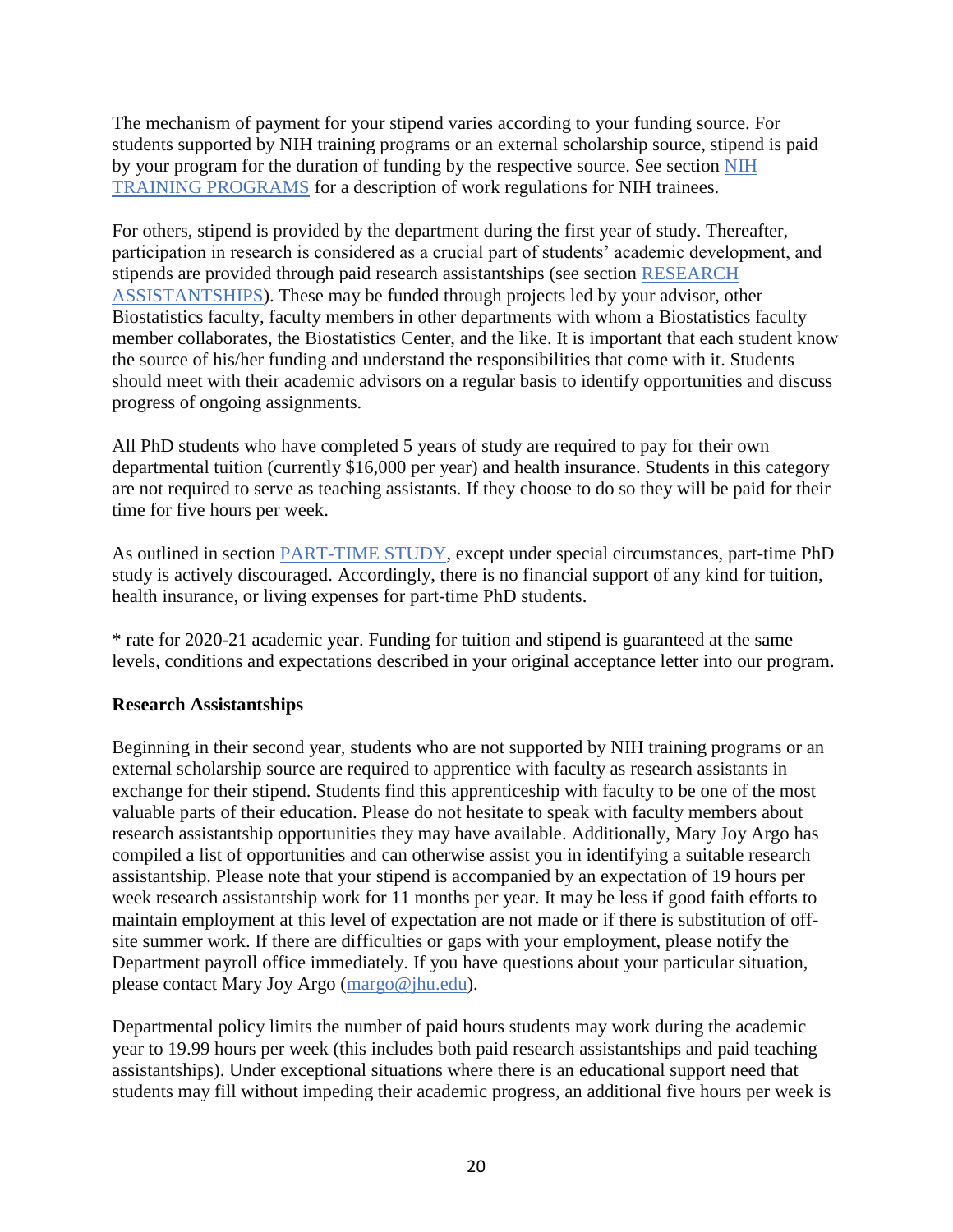The mechanism of payment for your stipend varies according to your funding source. For students supported by NIH training programs or an external scholarship source, stipend is paid by your program for the duration of funding by the respective source. See section [NIH](#page-20-0)  [TRAINING PROGRAMS](#page-20-0) for a description of work regulations for NIH trainees.

For others, stipend is provided by the department during the first year of study. Thereafter, participation in research is considered as a crucial part of students' academic development, and stipends are provided through paid research assistantships (see section [RESEARCH](#page-19-0)  [ASSISTANTSHIPS\)](#page-19-0). These may be funded through projects led by your advisor, other Biostatistics faculty, faculty members in other departments with whom a Biostatistics faculty member collaborates, the Biostatistics Center, and the like. It is important that each student know the source of his/her funding and understand the responsibilities that come with it. Students should meet with their academic advisors on a regular basis to identify opportunities and discuss progress of ongoing assignments.

All PhD students who have completed 5 years of study are required to pay for their own departmental tuition (currently \$16,000 per year) and health insurance. Students in this category are not required to serve as teaching assistants. If they choose to do so they will be paid for their time for five hours per week.

As outlined in section [PART-TIME STUDY,](#page-8-1) except under special circumstances, part-time PhD study is actively discouraged. Accordingly, there is no financial support of any kind for tuition, health insurance, or living expenses for part-time PhD students.

\* rate for 2020-21 academic year. Funding for tuition and stipend is guaranteed at the same levels, conditions and expectations described in your original acceptance letter into our program.

### <span id="page-19-0"></span>**Research Assistantships**

Beginning in their second year, students who are not supported by NIH training programs or an external scholarship source are required to apprentice with faculty as research assistants in exchange for their stipend. Students find this apprenticeship with faculty to be one of the most valuable parts of their education. Please do not hesitate to speak with faculty members about research assistantship opportunities they may have available. Additionally, Mary Joy Argo has compiled a list of opportunities and can otherwise assist you in identifying a suitable research assistantship. Please note that your stipend is accompanied by an expectation of 19 hours per week research assistantship work for 11 months per year. It may be less if good faith efforts to maintain employment at this level of expectation are not made or if there is substitution of offsite summer work. If there are difficulties or gaps with your employment, please notify the Department payroll office immediately. If you have questions about your particular situation, please contact Mary Joy Argo (margo@jhu.edu).

Departmental policy limits the number of paid hours students may work during the academic year to 19.99 hours per week (this includes both paid research assistantships and paid teaching assistantships). Under exceptional situations where there is an educational support need that students may fill without impeding their academic progress, an additional five hours per week is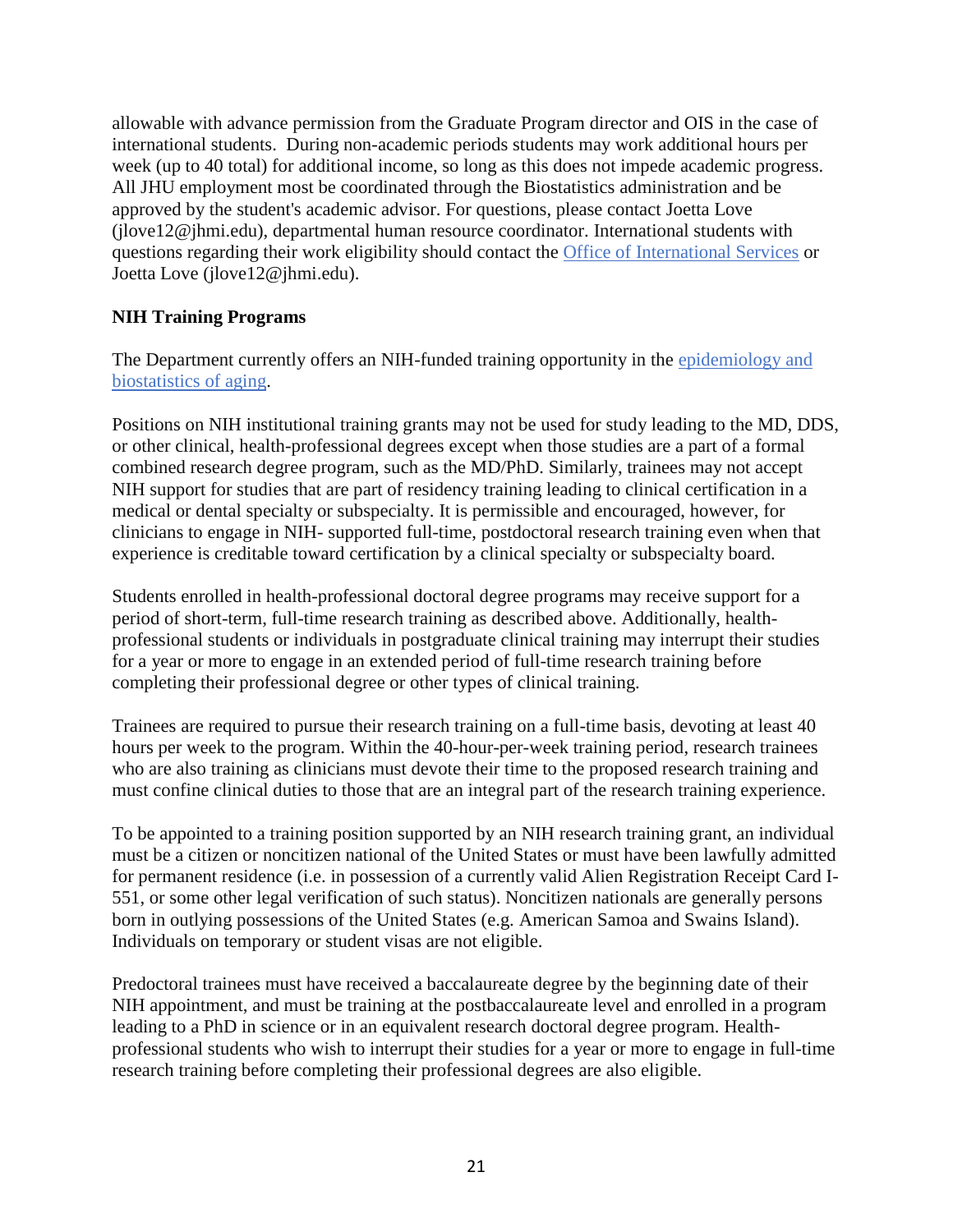allowable with advance permission from the Graduate Program director and OIS in the case of international students. During non-academic periods students may work additional hours per week (up to 40 total) for additional income, so long as this does not impede academic progress. All JHU employment most be coordinated through the Biostatistics administration and be approved by the student's academic advisor. For questions, please contact Joetta Love (jlove12@jhmi.edu), departmental human resource coordinator. International students with questions regarding their work eligibility should contact the Office of International Services or Joetta Love (jlove12@jhmi.edu).

## <span id="page-20-0"></span>**NIH Training Programs**

The Department currently offers an NIH-funded training opportunity in the epidemiology and biostatistics of aging.

Positions on NIH institutional training grants may not be used for study leading to the MD, DDS, or other clinical, health-professional degrees except when those studies are a part of a formal combined research degree program, such as the MD/PhD. Similarly, trainees may not accept NIH support for studies that are part of residency training leading to clinical certification in a medical or dental specialty or subspecialty. It is permissible and encouraged, however, for clinicians to engage in NIH- supported full-time, postdoctoral research training even when that experience is creditable toward certification by a clinical specialty or subspecialty board.

Students enrolled in health-professional doctoral degree programs may receive support for a period of short-term, full-time research training as described above. Additionally, healthprofessional students or individuals in postgraduate clinical training may interrupt their studies for a year or more to engage in an extended period of full-time research training before completing their professional degree or other types of clinical training.

Trainees are required to pursue their research training on a full-time basis, devoting at least 40 hours per week to the program. Within the 40-hour-per-week training period, research trainees who are also training as clinicians must devote their time to the proposed research training and must confine clinical duties to those that are an integral part of the research training experience.

To be appointed to a training position supported by an NIH research training grant, an individual must be a citizen or noncitizen national of the United States or must have been lawfully admitted for permanent residence (i.e. in possession of a currently valid Alien Registration Receipt Card I-551, or some other legal verification of such status). Noncitizen nationals are generally persons born in outlying possessions of the United States (e.g. American Samoa and Swains Island). Individuals on temporary or student visas are not eligible.

Predoctoral trainees must have received a baccalaureate degree by the beginning date of their NIH appointment, and must be training at the postbaccalaureate level and enrolled in a program leading to a PhD in science or in an equivalent research doctoral degree program. Healthprofessional students who wish to interrupt their studies for a year or more to engage in full-time research training before completing their professional degrees are also eligible.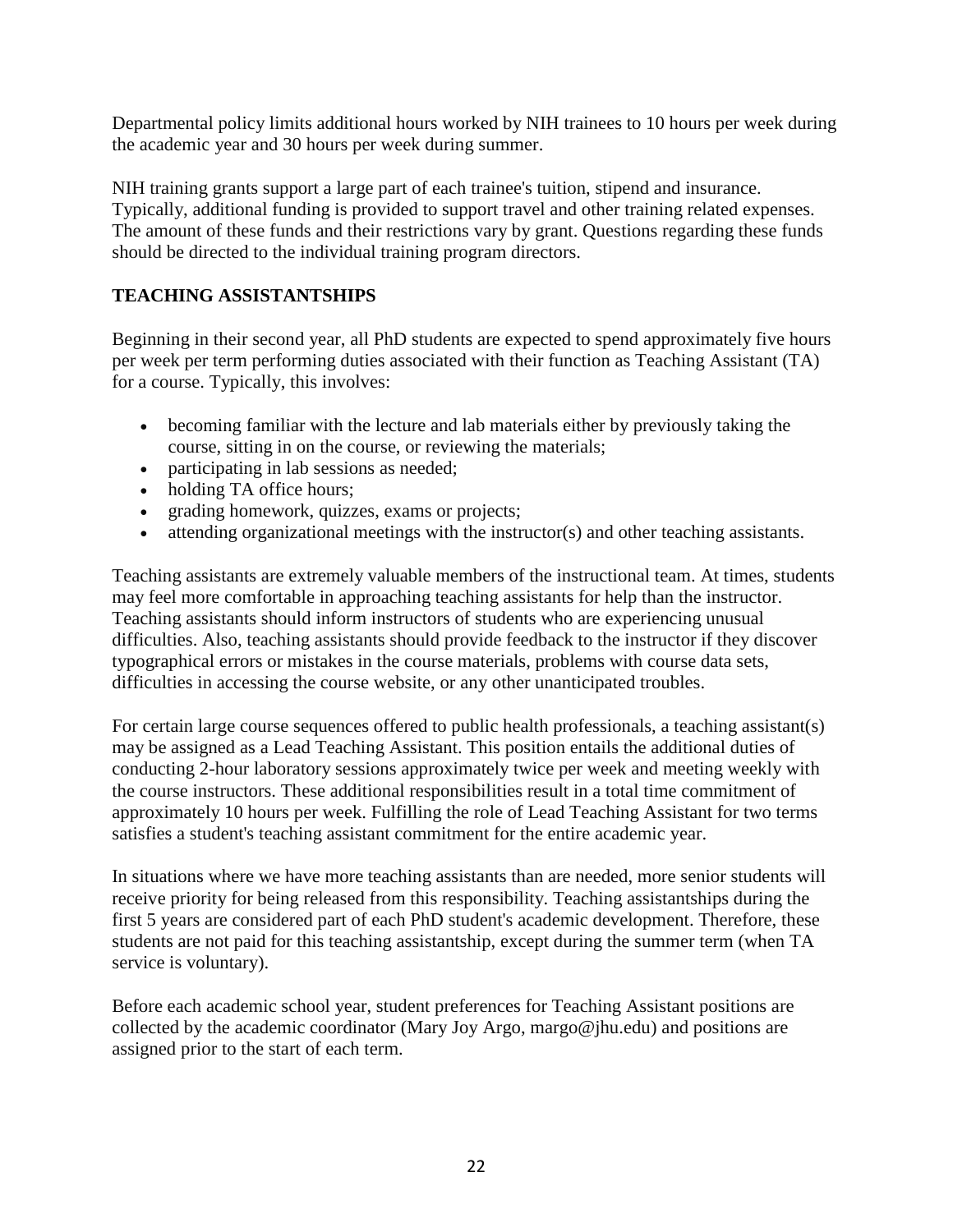Departmental policy limits additional hours worked by NIH trainees to 10 hours per week during the academic year and 30 hours per week during summer.

NIH training grants support a large part of each trainee's tuition, stipend and insurance. Typically, additional funding is provided to support travel and other training related expenses. The amount of these funds and their restrictions vary by grant. Questions regarding these funds should be directed to the individual training program directors.

## <span id="page-21-0"></span>**TEACHING ASSISTANTSHIPS**

Beginning in their second year, all PhD students are expected to spend approximately five hours per week per term performing duties associated with their function as Teaching Assistant (TA) for a course. Typically, this involves:

- becoming familiar with the lecture and lab materials either by previously taking the course, sitting in on the course, or reviewing the materials;
- participating in lab sessions as needed;
- holding TA office hours:
- grading homework, quizzes, exams or projects;
- attending organizational meetings with the instructor(s) and other teaching assistants.

Teaching assistants are extremely valuable members of the instructional team. At times, students may feel more comfortable in approaching teaching assistants for help than the instructor. Teaching assistants should inform instructors of students who are experiencing unusual difficulties. Also, teaching assistants should provide feedback to the instructor if they discover typographical errors or mistakes in the course materials, problems with course data sets, difficulties in accessing the course website, or any other unanticipated troubles.

For certain large course sequences offered to public health professionals, a teaching assistant(s) may be assigned as a Lead Teaching Assistant. This position entails the additional duties of conducting 2-hour laboratory sessions approximately twice per week and meeting weekly with the course instructors. These additional responsibilities result in a total time commitment of approximately 10 hours per week. Fulfilling the role of Lead Teaching Assistant for two terms satisfies a student's teaching assistant commitment for the entire academic year.

In situations where we have more teaching assistants than are needed, more senior students will receive priority for being released from this responsibility. Teaching assistantships during the first 5 years are considered part of each PhD student's academic development. Therefore, these students are not paid for this teaching assistantship, except during the summer term (when TA service is voluntary).

Before each academic school year, student preferences for Teaching Assistant positions are collected by the academic coordinator (Mary Joy Argo, margo@jhu.edu) and positions are assigned prior to the start of each term.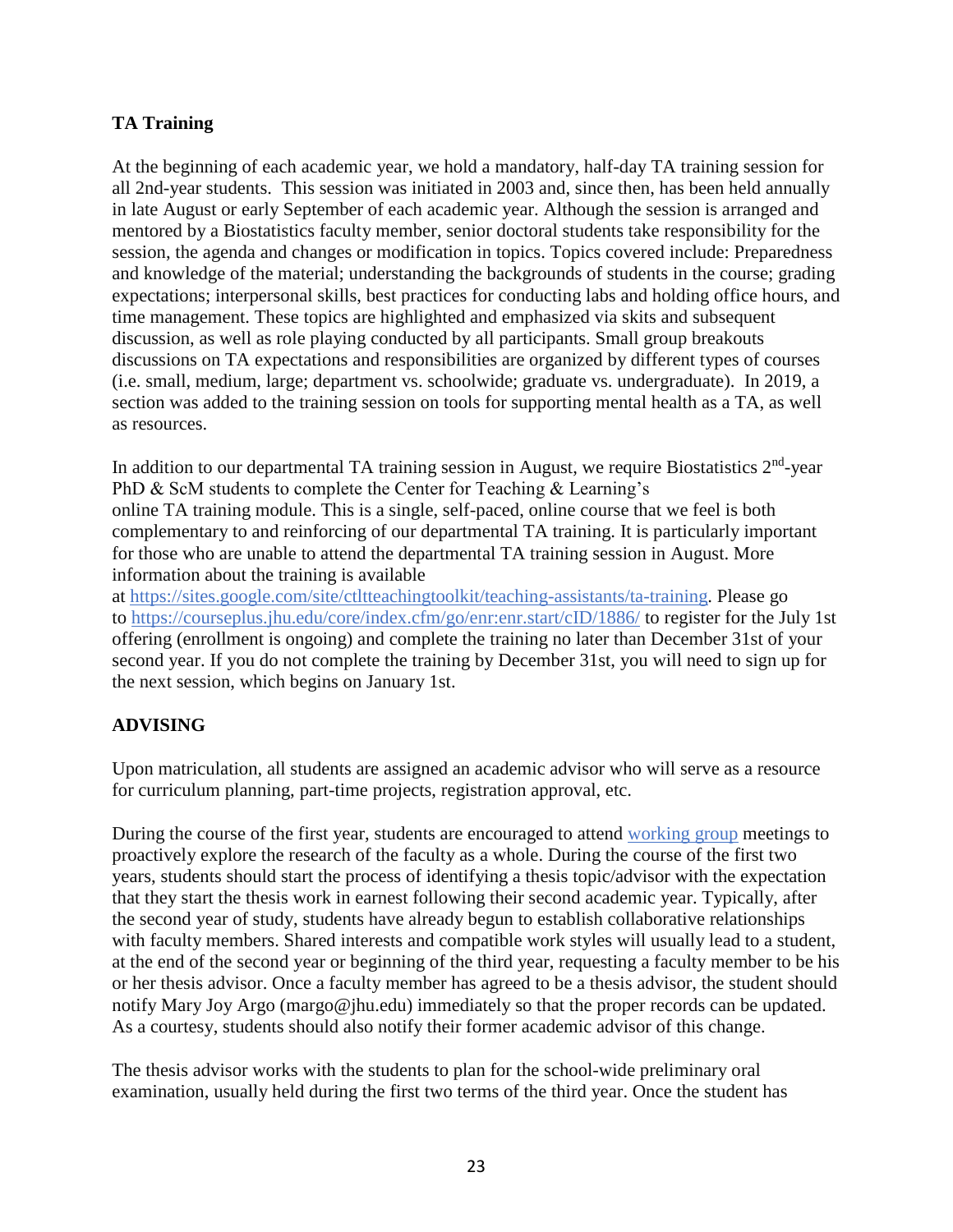## <span id="page-22-0"></span>**TA Training**

At the beginning of each academic year, we hold a mandatory, half-day TA training session for all 2nd-year students. This session was initiated in 2003 and, since then, has been held annually in late August or early September of each academic year. Although the session is arranged and mentored by a Biostatistics faculty member, senior doctoral students take responsibility for the session, the agenda and changes or modification in topics. Topics covered include: Preparedness and knowledge of the material; understanding the backgrounds of students in the course; grading expectations; interpersonal skills, best practices for conducting labs and holding office hours, and time management. These topics are highlighted and emphasized via skits and subsequent discussion, as well as role playing conducted by all participants. Small group breakouts discussions on TA expectations and responsibilities are organized by different types of courses (i.e. small, medium, large; department vs. schoolwide; graduate vs. undergraduate). In 2019, a section was added to the training session on tools for supporting mental health as a TA, as well as resources.

In addition to our departmental TA training session in August, we require Biostatistics  $2<sup>nd</sup>$ -year PhD & ScM students to complete the Center for Teaching & Learning's online TA training module. This is a single, self-paced, online course that we feel is both complementary to and reinforcing of our departmental TA training. It is particularly important for those who are unable to attend the departmental TA training session in August. More information about the training is available

at https://sites.google.com/site/ctltteachingtoolkit/teaching-assistants/ta-training. Please go to https://courseplus.jhu.edu/core/index.cfm/go/enr:enr.start/cID/1886/ to register for the July 1st offering (enrollment is ongoing) and complete the training no later than December 31st of your second year. If you do not complete the training by December 31st, you will need to sign up for the next session, which begins on January 1st.

# <span id="page-22-1"></span>**ADVISING**

Upon matriculation, all students are assigned an academic advisor who will serve as a resource for curriculum planning, part-time projects, registration approval, etc.

During the course of the first year, students are encouraged to attend [working group](#page-25-2) meetings to proactively explore the research of the faculty as a whole. During the course of the first two years, students should start the process of identifying a thesis topic/advisor with the expectation that they start the thesis work in earnest following their second academic year. Typically, after the second year of study, students have already begun to establish collaborative relationships with faculty members. Shared interests and compatible work styles will usually lead to a student, at the end of the second year or beginning of the third year, requesting a faculty member to be his or her thesis advisor. Once a faculty member has agreed to be a thesis advisor, the student should notify Mary Joy Argo (margo@jhu.edu) immediately so that the proper records can be updated. As a courtesy, students should also notify their former academic advisor of this change.

The thesis advisor works with the students to plan for the school-wide preliminary oral examination, usually held during the first two terms of the third year. Once the student has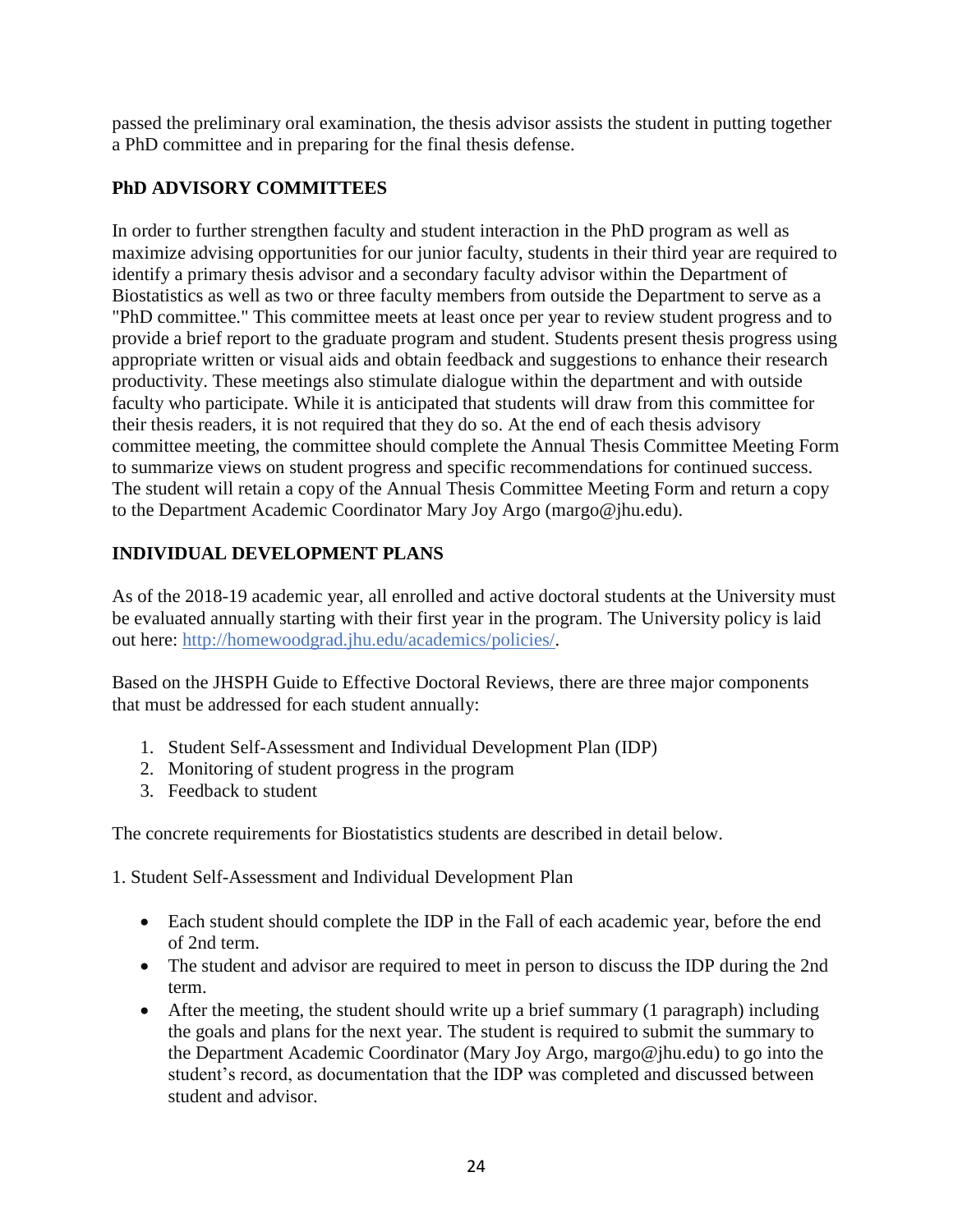passed the preliminary oral examination, the thesis advisor assists the student in putting together a PhD committee and in preparing for the final thesis defense.

# <span id="page-23-0"></span>**PhD ADVISORY COMMITTEES**

In order to further strengthen faculty and student interaction in the PhD program as well as maximize advising opportunities for our junior faculty, students in their third year are required to identify a primary thesis advisor and a secondary faculty advisor within the Department of Biostatistics as well as two or three faculty members from outside the Department to serve as a "PhD committee." This committee meets at least once per year to review student progress and to provide a brief report to the graduate program and student. Students present thesis progress using appropriate written or visual aids and obtain feedback and suggestions to enhance their research productivity. These meetings also stimulate dialogue within the department and with outside faculty who participate. While it is anticipated that students will draw from this committee for their thesis readers, it is not required that they do so. At the end of each thesis advisory committee meeting, the committee should complete the Annual Thesis Committee Meeting Form to summarize views on student progress and specific recommendations for continued success. The student will retain a copy of the Annual Thesis Committee Meeting Form and return a copy to the Department Academic Coordinator Mary Joy Argo (margo@jhu.edu).

# <span id="page-23-1"></span>**INDIVIDUAL DEVELOPMENT PLANS**

As of the 2018-19 academic year, all enrolled and active doctoral students at the University must be evaluated annually starting with their first year in the program. The University policy is laid out here: http://homewoodgrad.jhu.edu/academics/policies/.

Based on the JHSPH Guide to Effective Doctoral Reviews, there are three major components that must be addressed for each student annually:

- 1. Student Self-Assessment and Individual Development Plan (IDP)
- 2. Monitoring of student progress in the program
- 3. Feedback to student

The concrete requirements for Biostatistics students are described in detail below.

1. Student Self-Assessment and Individual Development Plan

- Each student should complete the IDP in the Fall of each academic year, before the end of 2nd term.
- The student and advisor are required to meet in person to discuss the IDP during the 2nd term.
- After the meeting, the student should write up a brief summary (1 paragraph) including the goals and plans for the next year. The student is required to submit the summary to the Department Academic Coordinator (Mary Joy Argo, margo@jhu.edu) to go into the student's record, as documentation that the IDP was completed and discussed between student and advisor.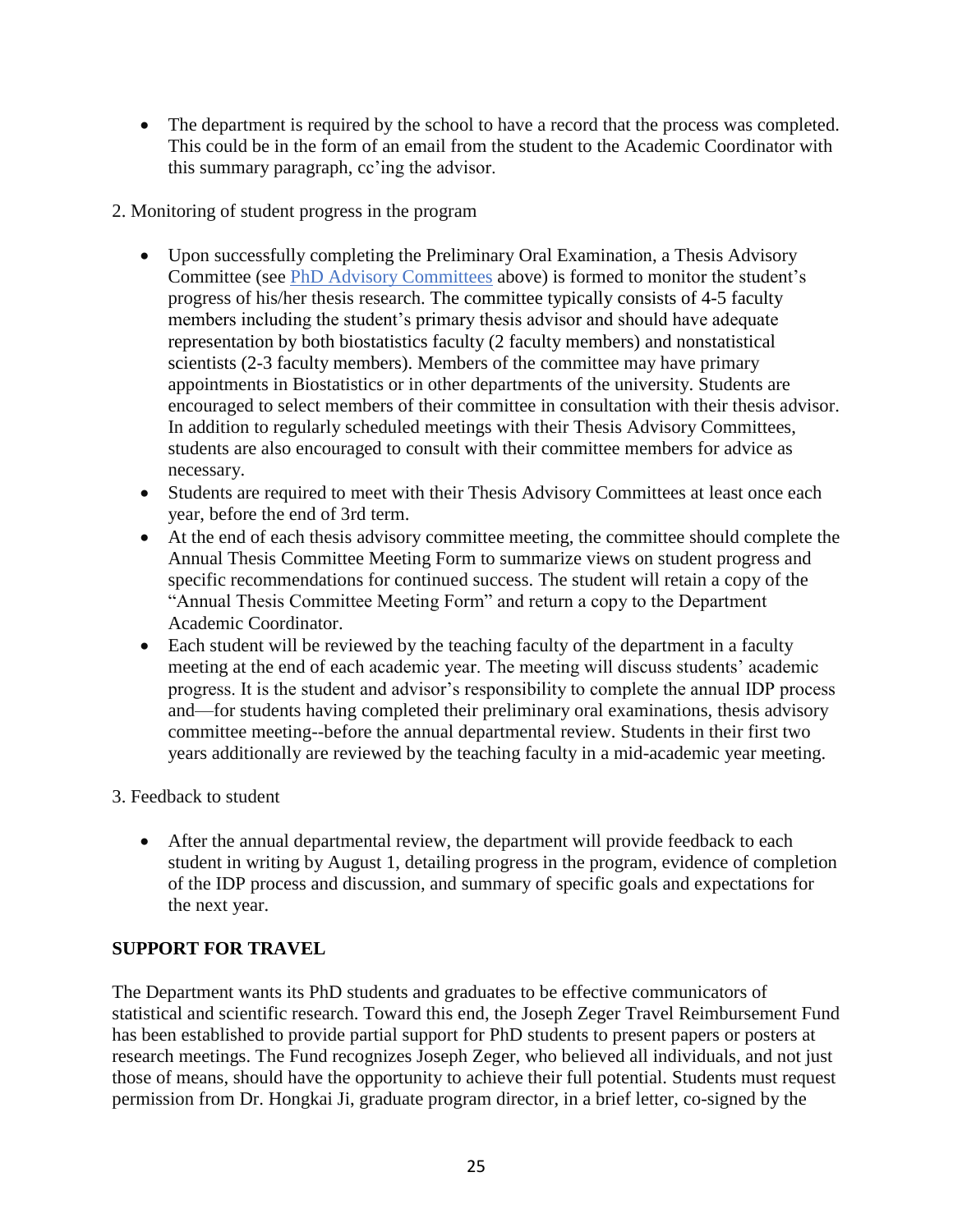- The department is required by the school to have a record that the process was completed. This could be in the form of an email from the student to the Academic Coordinator with this summary paragraph, cc'ing the advisor.
- 2. Monitoring of student progress in the program
	- Upon successfully completing the Preliminary Oral Examination, a Thesis Advisory Committee (see [PhD Advisory Committees](#page-23-0) above) is formed to monitor the student's progress of his/her thesis research. The committee typically consists of 4-5 faculty members including the student's primary thesis advisor and should have adequate representation by both biostatistics faculty (2 faculty members) and nonstatistical scientists (2-3 faculty members). Members of the committee may have primary appointments in Biostatistics or in other departments of the university. Students are encouraged to select members of their committee in consultation with their thesis advisor. In addition to regularly scheduled meetings with their Thesis Advisory Committees, students are also encouraged to consult with their committee members for advice as necessary.
	- Students are required to meet with their Thesis Advisory Committees at least once each year, before the end of 3rd term.
	- At the end of each thesis advisory committee meeting, the committee should complete the Annual Thesis Committee Meeting Form to summarize views on student progress and specific recommendations for continued success. The student will retain a copy of the "Annual Thesis Committee Meeting Form" and return a copy to the Department Academic Coordinator.
	- Each student will be reviewed by the teaching faculty of the department in a faculty meeting at the end of each academic year. The meeting will discuss students' academic progress. It is the student and advisor's responsibility to complete the annual IDP process and—for students having completed their preliminary oral examinations, thesis advisory committee meeting--before the annual departmental review. Students in their first two years additionally are reviewed by the teaching faculty in a mid-academic year meeting.
- 3. Feedback to student
	- After the annual departmental review, the department will provide feedback to each student in writing by August 1, detailing progress in the program, evidence of completion of the IDP process and discussion, and summary of specific goals and expectations for the next year.

# <span id="page-24-0"></span>**SUPPORT FOR TRAVEL**

The Department wants its PhD students and graduates to be effective communicators of statistical and scientific research. Toward this end, the Joseph Zeger Travel Reimbursement Fund has been established to provide partial support for PhD students to present papers or posters at research meetings. The Fund recognizes Joseph Zeger, who believed all individuals, and not just those of means, should have the opportunity to achieve their full potential. Students must request permission from Dr. Hongkai Ji, graduate program director, in a brief letter, co-signed by the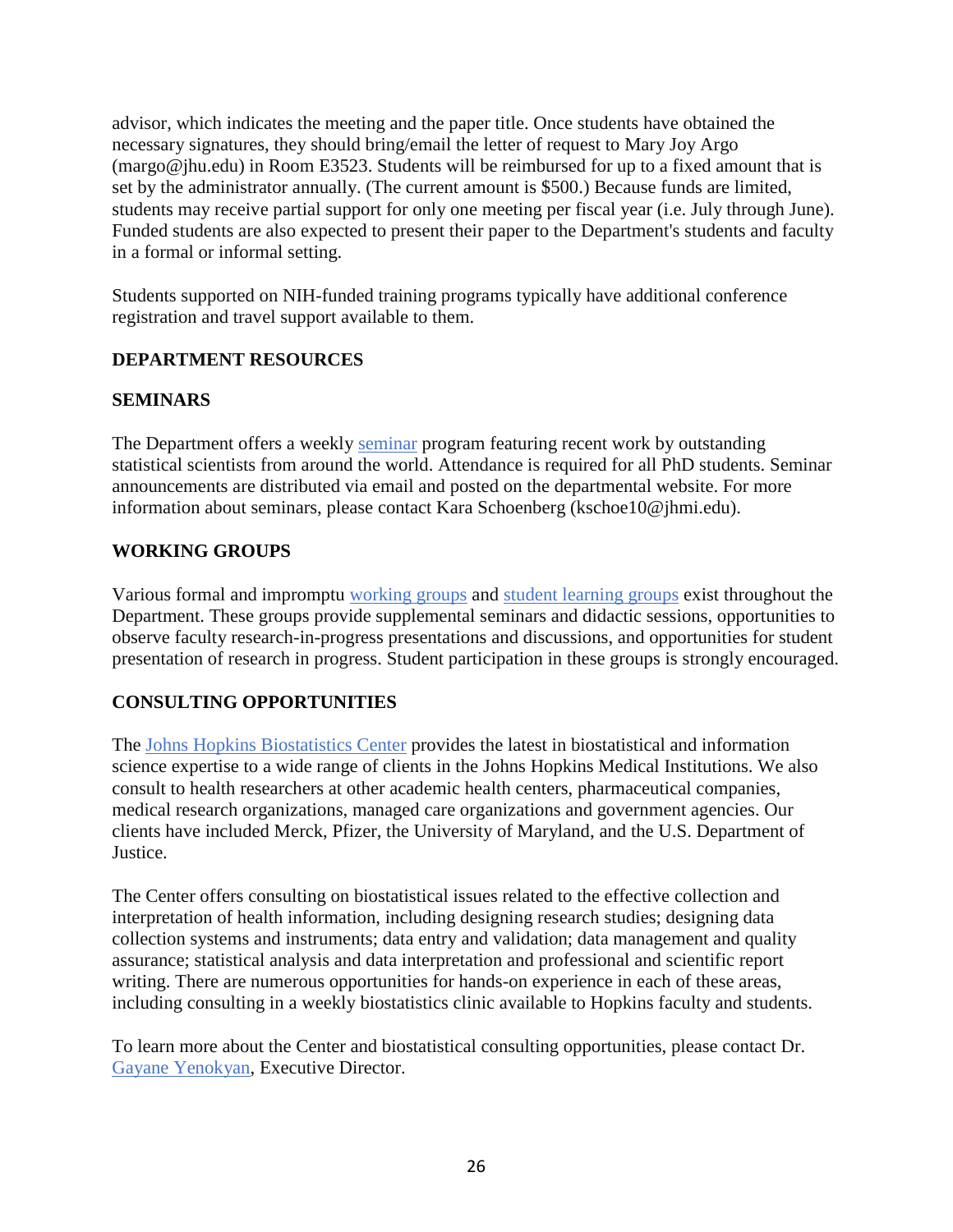advisor, which indicates the meeting and the paper title. Once students have obtained the necessary signatures, they should bring/email the letter of request to Mary Joy Argo (margo@jhu.edu) in Room E3523. Students will be reimbursed for up to a fixed amount that is set by the administrator annually. (The current amount is \$500.) Because funds are limited, students may receive partial support for only one meeting per fiscal year (i.e. July through June). Funded students are also expected to present their paper to the Department's students and faculty in a formal or informal setting.

Students supported on NIH-funded training programs typically have additional conference registration and travel support available to them.

## <span id="page-25-0"></span>**DEPARTMENT RESOURCES**

## <span id="page-25-1"></span>**SEMINARS**

The Department offers a weekly seminar program featuring recent work by outstanding statistical scientists from around the world. Attendance is required for all PhD students. Seminar announcements are distributed via email and posted on the departmental website. For more information about seminars, please contact Kara Schoenberg (kschoe10@jhmi.edu).

## <span id="page-25-2"></span>**WORKING GROUPS**

Various formal and impromptu working groups and student learning groups exist throughout the Department. These groups provide supplemental seminars and didactic sessions, opportunities to observe faculty research-in-progress presentations and discussions, and opportunities for student presentation of research in progress. Student participation in these groups is strongly encouraged.

### <span id="page-25-3"></span>**CONSULTING OPPORTUNITIES**

The Johns Hopkins Biostatistics Center provides the latest in biostatistical and information science expertise to a wide range of clients in the Johns Hopkins Medical Institutions. We also consult to health researchers at other academic health centers, pharmaceutical companies, medical research organizations, managed care organizations and government agencies. Our clients have included Merck, Pfizer, the University of Maryland, and the U.S. Department of Justice.

The Center offers consulting on biostatistical issues related to the effective collection and interpretation of health information, including designing research studies; designing data collection systems and instruments; data entry and validation; data management and quality assurance; statistical analysis and data interpretation and professional and scientific report writing. There are numerous opportunities for hands-on experience in each of these areas, including consulting in a weekly biostatistics clinic available to Hopkins faculty and students.

To learn more about the Center and biostatistical consulting opportunities, please contact Dr. Gayane Yenokyan, Executive Director.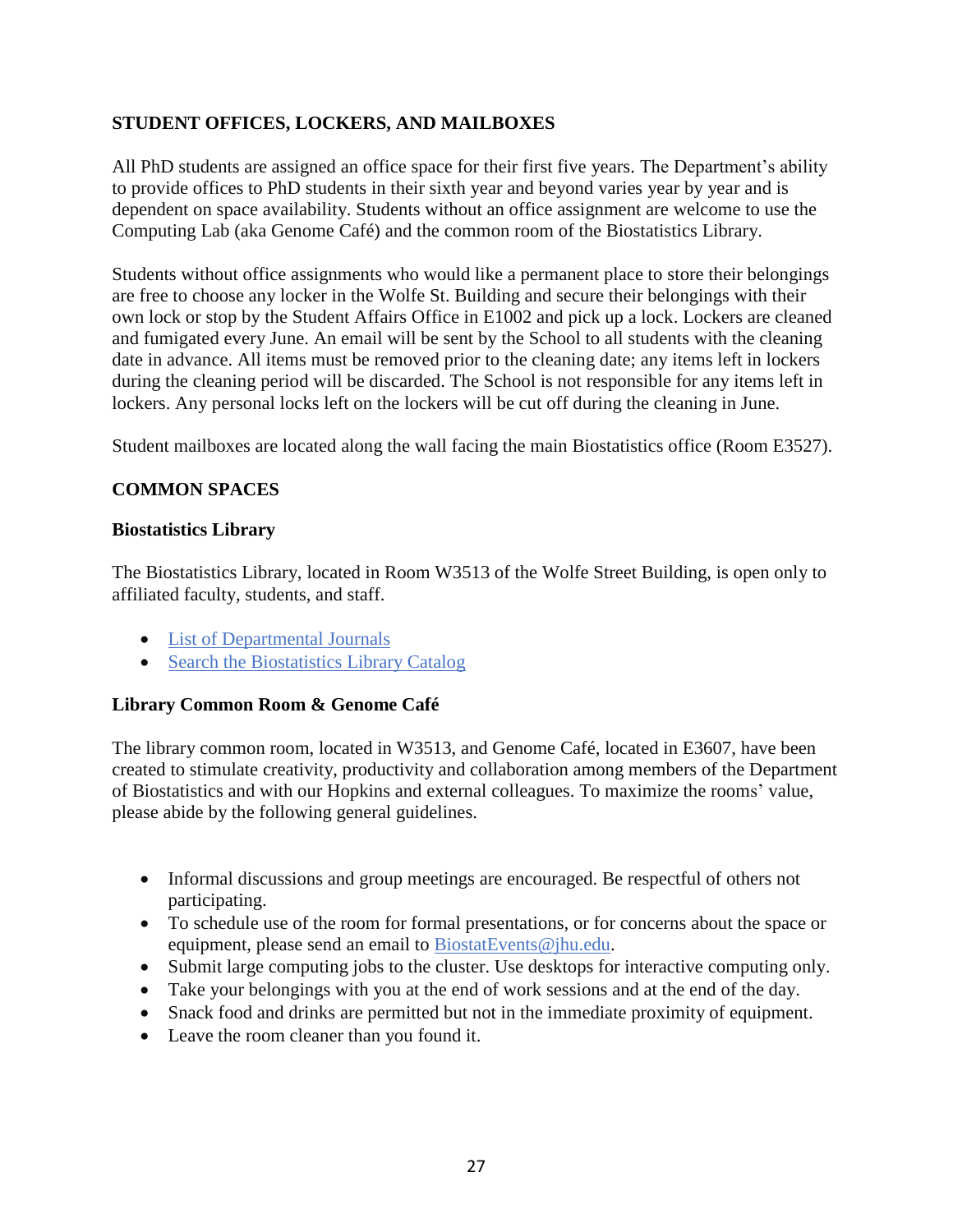## <span id="page-26-0"></span>**STUDENT OFFICES, LOCKERS, AND MAILBOXES**

All PhD students are assigned an office space for their first five years. The Department's ability to provide offices to PhD students in their sixth year and beyond varies year by year and is dependent on space availability. Students without an office assignment are welcome to use the Computing Lab (aka Genome Café) and the common room of the Biostatistics Library.

Students without office assignments who would like a permanent place to store their belongings are free to choose any locker in the Wolfe St. Building and secure their belongings with their own lock or stop by the Student Affairs Office in E1002 and pick up a lock. Lockers are cleaned and fumigated every June. An email will be sent by the School to all students with the cleaning date in advance. All items must be removed prior to the cleaning date; any items left in lockers during the cleaning period will be discarded. The School is not responsible for any items left in lockers. Any personal locks left on the lockers will be cut off during the cleaning in June.

Student mailboxes are located along the wall facing the main Biostatistics office (Room E3527).

### <span id="page-26-1"></span>**COMMON SPACES**

#### <span id="page-26-2"></span>**Biostatistics Library**

The Biostatistics Library, located in Room W3513 of the Wolfe Street Building, is open only to affiliated faculty, students, and staff.

- List of Departmental Journals
- Search the Biostatistics Library Catalog

### <span id="page-26-3"></span>**Library Common Room & Genome Café**

The library common room, located in W3513, and Genome Café, located in E3607, have been created to stimulate creativity, productivity and collaboration among members of the Department of Biostatistics and with our Hopkins and external colleagues. To maximize the rooms' value, please abide by the following general guidelines.

- Informal discussions and group meetings are encouraged. Be respectful of others not participating.
- To schedule use of the room for formal presentations, or for concerns about the space or equipment, please send an email to BiostatEvents@jhu.edu.
- Submit large computing jobs to the cluster. Use desktops for interactive computing only.
- Take your belongings with you at the end of work sessions and at the end of the day.
- Snack food and drinks are permitted but not in the immediate proximity of equipment.
- Leave the room cleaner than you found it.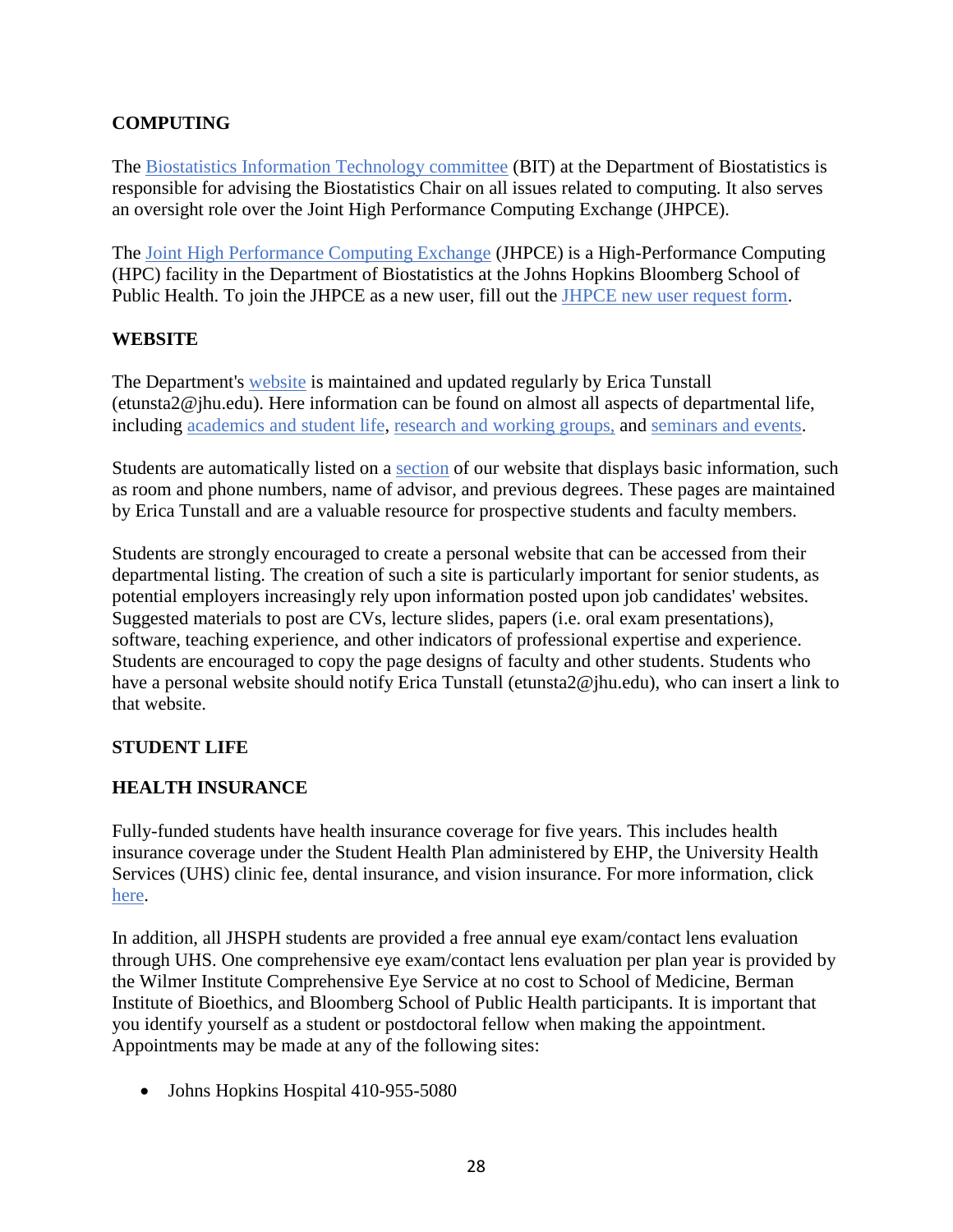# <span id="page-27-0"></span>**COMPUTING**

The Biostatistics Information Technology committee (BIT) at the Department of Biostatistics is responsible for advising the Biostatistics Chair on all issues related to computing. It also serves an oversight role over the Joint High Performance Computing Exchange (JHPCE).

The Joint High Performance Computing Exchange (JHPCE) is a High-Performance Computing (HPC) facility in the Department of Biostatistics at the Johns Hopkins Bloomberg School of Public Health. To join the JHPCE as a new user, fill out the JHPCE new user request form.

### <span id="page-27-1"></span>**WEBSITE**

The Department's website is maintained and updated regularly by Erica Tunstall (etunsta2@jhu.edu). Here information can be found on almost all aspects of departmental life, including academics and student life, research and working groups, and seminars and events.

Students are automatically listed on a section of our website that displays basic information, such as room and phone numbers, name of advisor, and previous degrees. These pages are maintained by Erica Tunstall and are a valuable resource for prospective students and faculty members.

Students are strongly encouraged to create a personal website that can be accessed from their departmental listing. The creation of such a site is particularly important for senior students, as potential employers increasingly rely upon information posted upon job candidates' websites. Suggested materials to post are CVs, lecture slides, papers (i.e. oral exam presentations), software, teaching experience, and other indicators of professional expertise and experience. Students are encouraged to copy the page designs of faculty and other students. Students who have a personal website should notify Erica Tunstall (etunsta2@jhu.edu), who can insert a link to that website.

# <span id="page-27-2"></span>**STUDENT LIFE**

# <span id="page-27-3"></span>**HEALTH INSURANCE**

Fully-funded students have health insurance coverage for five years. This includes health insurance coverage under the Student Health Plan administered by EHP, the University Health Services (UHS) clinic fee, dental insurance, and vision insurance. For more information, click here.

In addition, all JHSPH students are provided a free annual eye exam/contact lens evaluation through UHS. One comprehensive eye exam/contact lens evaluation per plan year is provided by the Wilmer Institute Comprehensive Eye Service at no cost to School of Medicine, Berman Institute of Bioethics, and Bloomberg School of Public Health participants. It is important that you identify yourself as a student or postdoctoral fellow when making the appointment. Appointments may be made at any of the following sites:

• Johns Hopkins Hospital 410-955-5080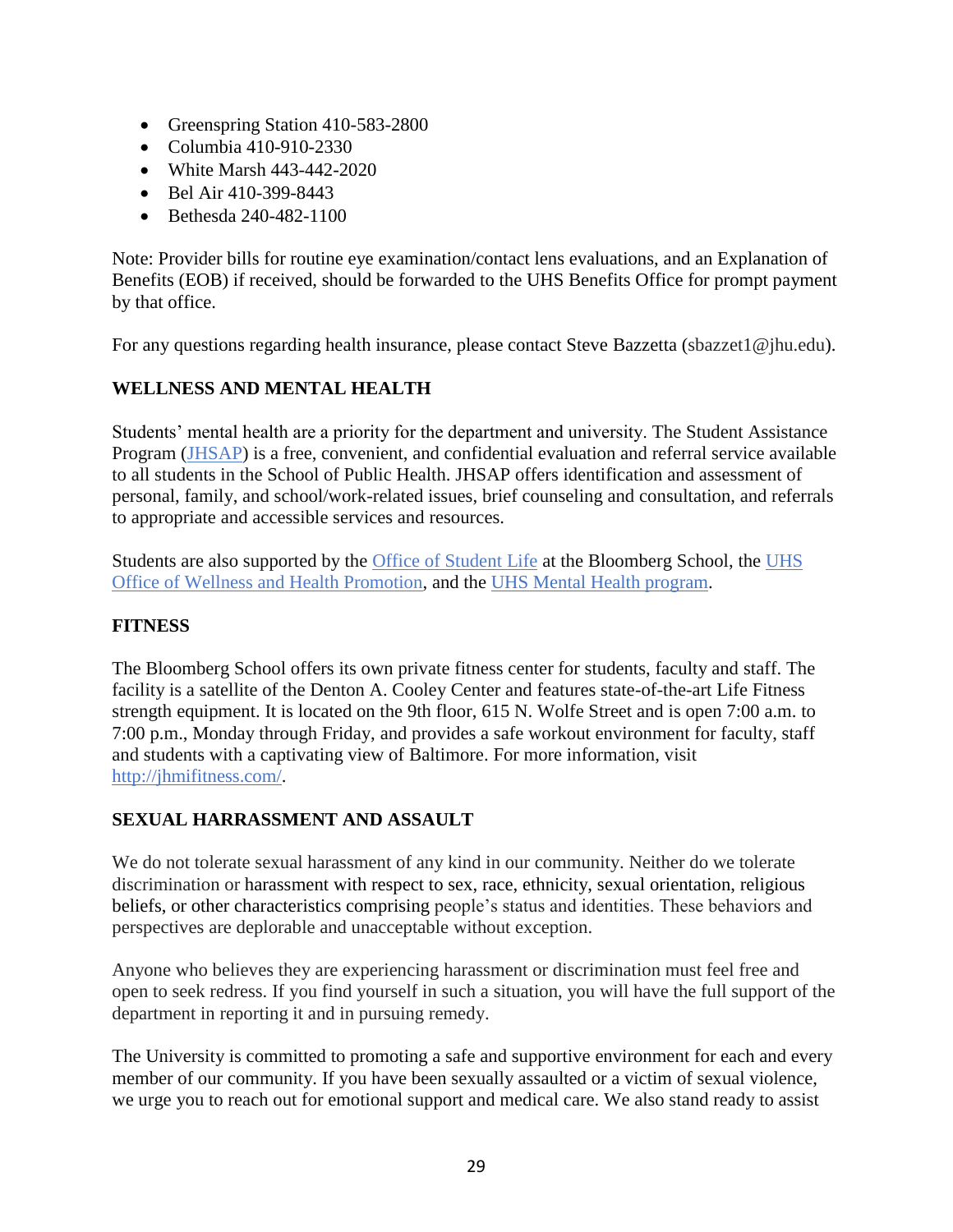- Greenspring Station 410-583-2800
- Columbia 410-910-2330
- White Marsh 443-442-2020
- Bel Air 410-399-8443
- Bethesda 240-482-1100

Note: Provider bills for routine eye examination/contact lens evaluations, and an Explanation of Benefits (EOB) if received, should be forwarded to the UHS Benefits Office for prompt payment by that office.

For any questions regarding health insurance, please contact Steve Bazzetta (sbazzet1@jhu.edu).

## <span id="page-28-0"></span>**WELLNESS AND MENTAL HEALTH**

Students' mental health are a priority for the department and university. The Student Assistance Program (JHSAP) is a free, convenient, and confidential evaluation and referral service available to all students in the School of Public Health. JHSAP offers identification and assessment of personal, family, and school/work-related issues, brief counseling and consultation, and referrals to appropriate and accessible services and resources.

Students are also supported by the Office of Student Life at the Bloomberg School, the UHS Office of Wellness and Health Promotion, and the UHS Mental Health program.

## <span id="page-28-1"></span>**FITNESS**

The Bloomberg School offers its own private fitness center for students, faculty and staff. The facility is a satellite of the Denton A. Cooley Center and features state-of-the-art Life Fitness strength equipment. It is located on the 9th floor, 615 N. Wolfe Street and is open 7:00 a.m. to 7:00 p.m., Monday through Friday, and provides a safe workout environment for faculty, staff and students with a captivating view of Baltimore. For more information, visit http://jhmifitness.com/.

### <span id="page-28-2"></span>**SEXUAL HARRASSMENT AND ASSAULT**

We do not tolerate sexual harassment of any kind in our community. Neither do we tolerate discrimination or harassment with respect to sex, race, ethnicity, sexual orientation, religious beliefs, or other characteristics comprising people's status and identities. These behaviors and perspectives are deplorable and unacceptable without exception.

Anyone who believes they are experiencing harassment or discrimination must feel free and open to seek redress. If you find yourself in such a situation, you will have the full support of the department in reporting it and in pursuing remedy.

The University is committed to promoting a safe and supportive environment for each and every member of our community. If you have been sexually assaulted or a victim of sexual violence, we urge you to reach out for emotional support and medical care. We also stand ready to assist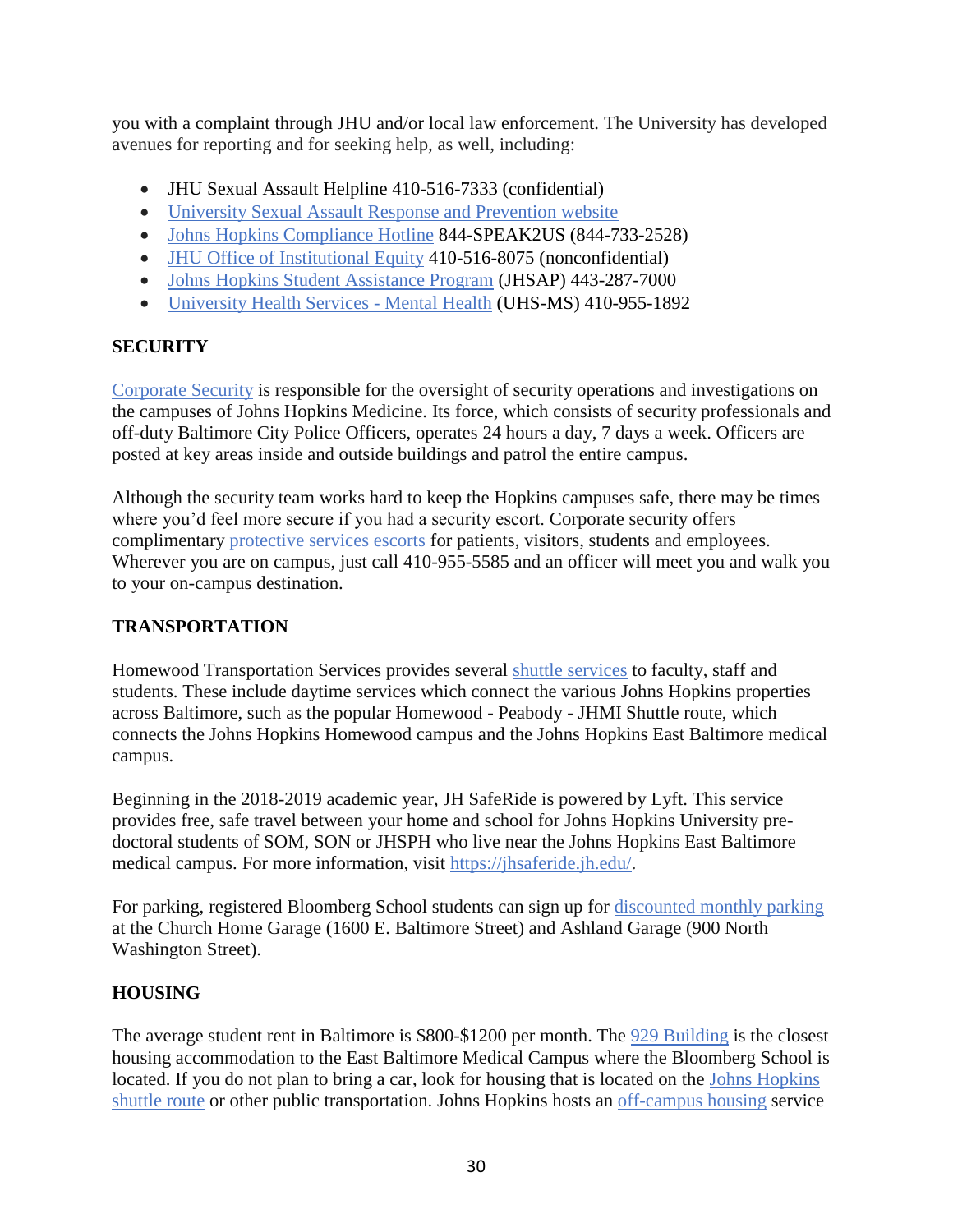you with a complaint through JHU and/or local law enforcement. The University has developed avenues for reporting and for seeking help, as well, including:

- JHU Sexual Assault Helpline 410-516-7333 (confidential)
- University Sexual Assault Response and Prevention website
- Johns Hopkins Compliance Hotline 844-SPEAK2US (844-733-2528)
- JHU Office of Institutional Equity 410-516-8075 (nonconfidential)
- Johns Hopkins Student Assistance Program (JHSAP) 443-287-7000
- University Health Services Mental Health (UHS-MS) 410-955-1892

## <span id="page-29-0"></span>**SECURITY**

Corporate Security is responsible for the oversight of security operations and investigations on the campuses of Johns Hopkins Medicine. Its force, which consists of security professionals and off-duty Baltimore City Police Officers, operates 24 hours a day, 7 days a week. Officers are posted at key areas inside and outside buildings and patrol the entire campus.

Although the security team works hard to keep the Hopkins campuses safe, there may be times where you'd feel more secure if you had a security escort. Corporate security offers complimentary protective services escorts for patients, visitors, students and employees. Wherever you are on campus, just call 410-955-5585 and an officer will meet you and walk you to your on-campus destination.

### <span id="page-29-1"></span>**TRANSPORTATION**

Homewood Transportation Services provides several shuttle services to faculty, staff and students. These include daytime services which connect the various Johns Hopkins properties across Baltimore, such as the popular Homewood - Peabody - JHMI Shuttle route, which connects the Johns Hopkins Homewood campus and the Johns Hopkins East Baltimore medical campus.

Beginning in the 2018-2019 academic year, JH SafeRide is powered by Lyft. This service provides free, safe travel between your home and school for Johns Hopkins University predoctoral students of SOM, SON or JHSPH who live near the Johns Hopkins East Baltimore medical campus. For more information, visit https://jhsaferide.jh.edu/.

For parking, registered Bloomberg School students can sign up for discounted monthly parking at the Church Home Garage (1600 E. Baltimore Street) and Ashland Garage (900 North Washington Street).

# <span id="page-29-2"></span>**HOUSING**

The average student rent in Baltimore is \$800-\$1200 per month. The 929 Building is the closest housing accommodation to the East Baltimore Medical Campus where the Bloomberg School is located. If you do not plan to bring a car, look for housing that is located on the Johns Hopkins shuttle route or other public transportation. Johns Hopkins hosts an off-campus housing service